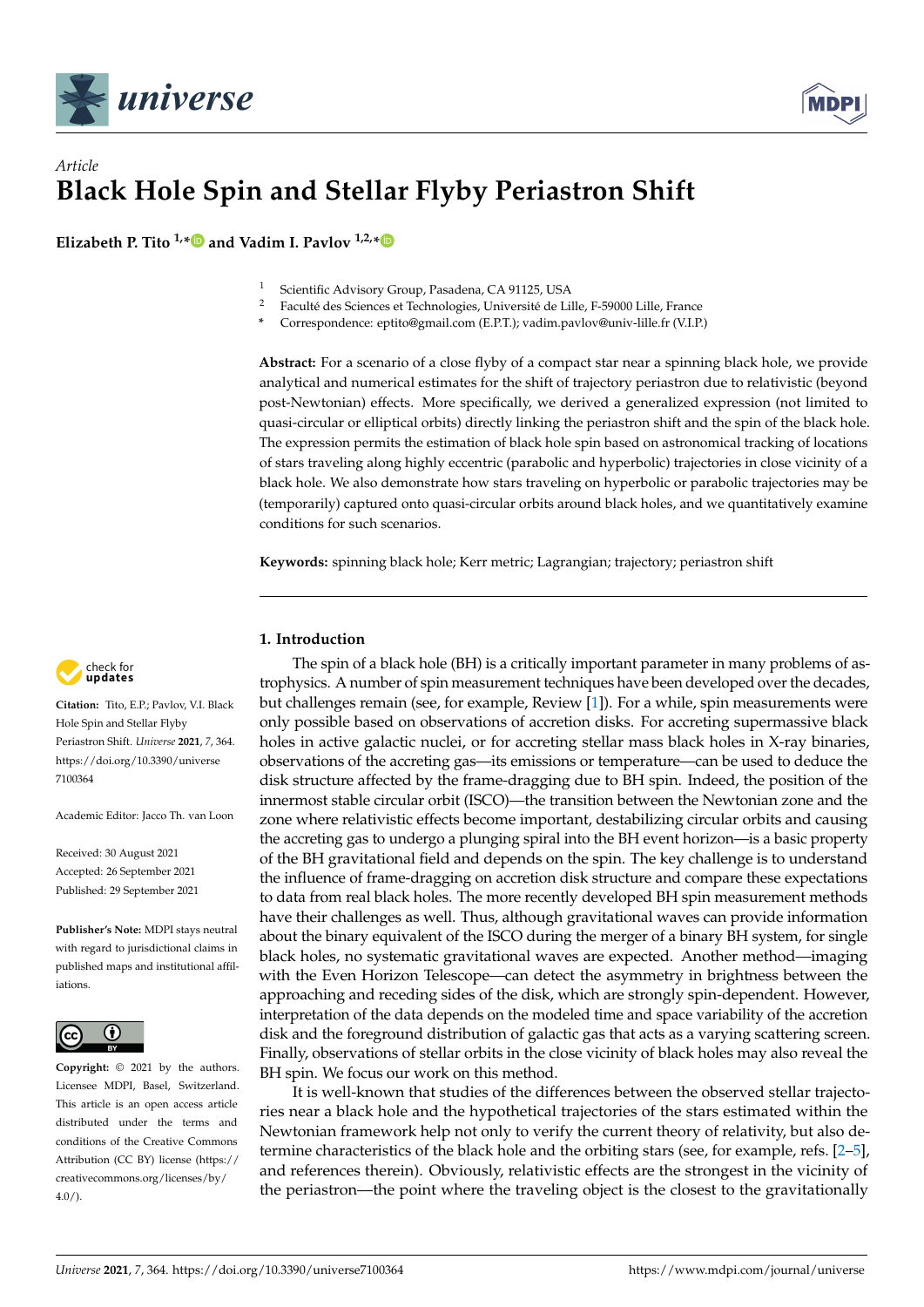



# *Article* **Black Hole Spin and Stellar Flyby Periastron Shift**

**Elizabeth P. Tito**  $1, * \blacksquare$  $1, * \blacksquare$  $1, * \blacksquare$  and Vadim I. Pavlov  $1,2,* \blacksquare$ 

- <sup>1</sup> Scientific Advisory Group, Pasadena, CA 91125, USA<br><sup>2</sup> Eacultá des Sciences et Technologies, Université de Li
- <sup>2</sup> Faculté des Sciences et Technologies, Université de Lille, F-59000 Lille, France
- **\*** Correspondence: eptito@gmail.com (E.P.T.); vadim.pavlov@univ-lille.fr (V.I.P.)

**Abstract:** For a scenario of a close flyby of a compact star near a spinning black hole, we provide analytical and numerical estimates for the shift of trajectory periastron due to relativistic (beyond post-Newtonian) effects. More specifically, we derived a generalized expression (not limited to quasi-circular or elliptical orbits) directly linking the periastron shift and the spin of the black hole. The expression permits the estimation of black hole spin based on astronomical tracking of locations of stars traveling along highly eccentric (parabolic and hyperbolic) trajectories in close vicinity of a black hole. We also demonstrate how stars traveling on hyperbolic or parabolic trajectories may be (temporarily) captured onto quasi-circular orbits around black holes, and we quantitatively examine conditions for such scenarios.

**Keywords:** spinning black hole; Kerr metric; Lagrangian; trajectory; periastron shift

# **1. Introduction**

The spin of a black hole (BH) is a critically important parameter in many problems of astrophysics. A number of spin measurement techniques have been developed over the decades, but challenges remain (see, for example, Review [\[1\]](#page-13-0)). For a while, spin measurements were only possible based on observations of accretion disks. For accreting supermassive black holes in active galactic nuclei, or for accreting stellar mass black holes in X-ray binaries, observations of the accreting gas—its emissions or temperature—can be used to deduce the disk structure affected by the frame-dragging due to BH spin. Indeed, the position of the innermost stable circular orbit (ISCO)—the transition between the Newtonian zone and the zone where relativistic effects become important, destabilizing circular orbits and causing the accreting gas to undergo a plunging spiral into the BH event horizon—is a basic property of the BH gravitational field and depends on the spin. The key challenge is to understand the influence of frame-dragging on accretion disk structure and compare these expectations to data from real black holes. The more recently developed BH spin measurement methods have their challenges as well. Thus, although gravitational waves can provide information about the binary equivalent of the ISCO during the merger of a binary BH system, for single black holes, no systematic gravitational waves are expected. Another method—imaging with the Even Horizon Telescope—can detect the asymmetry in brightness between the approaching and receding sides of the disk, which are strongly spin-dependent. However, interpretation of the data depends on the modeled time and space variability of the accretion disk and the foreground distribution of galactic gas that acts as a varying scattering screen. Finally, observations of stellar orbits in the close vicinity of black holes may also reveal the BH spin. We focus our work on this method.

It is well-known that studies of the differences between the observed stellar trajectories near a black hole and the hypothetical trajectories of the stars estimated within the Newtonian framework help not only to verify the current theory of relativity, but also determine characteristics of the black hole and the orbiting stars (see, for example, refs. [\[2–](#page-13-1)[5\]](#page-13-2), and references therein). Obviously, relativistic effects are the strongest in the vicinity of the periastron—the point where the traveling object is the closest to the gravitationally



**Citation:** Tito, E.P.; Pavlov, V.I. Black Hole Spin and Stellar Flyby Periastron Shift. *Universe* **2021**, *7*, 364. [https://doi.org/10.3390/universe](https://doi.org/10.3390/universe7100364) [7100364](https://doi.org/10.3390/universe7100364)

Academic Editor: Jacco Th. van Loon

Received: 30 August 2021 Accepted: 26 September 2021 Published: 29 September 2021

**Publisher's Note:** MDPI stays neutral with regard to jurisdictional claims in published maps and institutional affiliations.



**Copyright:** © 2021 by the authors. Licensee MDPI, Basel, Switzerland. This article is an open access article distributed under the terms and conditions of the Creative Commons Attribution (CC BY) license (https:/[/](https://creativecommons.org/licenses/by/4.0/) [creativecommons.org/licenses/by/](https://creativecommons.org/licenses/by/4.0/)  $4.0/$ ).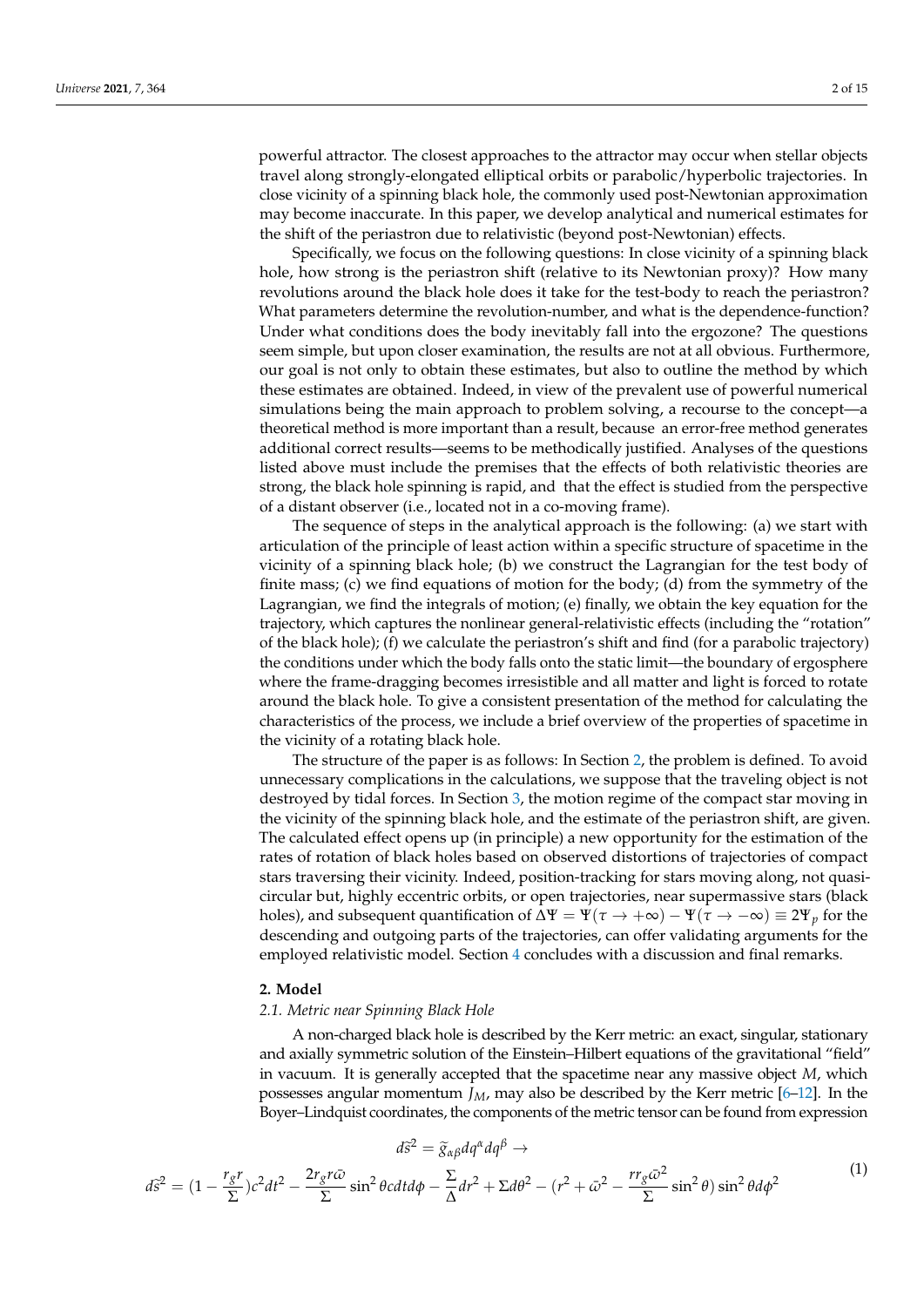powerful attractor. The closest approaches to the attractor may occur when stellar objects travel along strongly-elongated elliptical orbits or parabolic/hyperbolic trajectories. In close vicinity of a spinning black hole, the commonly used post-Newtonian approximation may become inaccurate. In this paper, we develop analytical and numerical estimates for the shift of the periastron due to relativistic (beyond post-Newtonian) effects.

Specifically, we focus on the following questions: In close vicinity of a spinning black hole, how strong is the periastron shift (relative to its Newtonian proxy)? How many revolutions around the black hole does it take for the test-body to reach the periastron? What parameters determine the revolution-number, and what is the dependence-function? Under what conditions does the body inevitably fall into the ergozone? The questions seem simple, but upon closer examination, the results are not at all obvious. Furthermore, our goal is not only to obtain these estimates, but also to outline the method by which these estimates are obtained. Indeed, in view of the prevalent use of powerful numerical simulations being the main approach to problem solving, a recourse to the concept—a theoretical method is more important than a result, because an error-free method generates additional correct results—seems to be methodically justified. Analyses of the questions listed above must include the premises that the effects of both relativistic theories are strong, the black hole spinning is rapid, and that the effect is studied from the perspective of a distant observer (i.e., located not in a co-moving frame).

The sequence of steps in the analytical approach is the following: (a) we start with articulation of the principle of least action within a specific structure of spacetime in the vicinity of a spinning black hole; (b) we construct the Lagrangian for the test body of finite mass; (c) we find equations of motion for the body; (d) from the symmetry of the Lagrangian, we find the integrals of motion; (e) finally, we obtain the key equation for the trajectory, which captures the nonlinear general-relativistic effects (including the "rotation" of the black hole); (f) we calculate the periastron's shift and find (for a parabolic trajectory) the conditions under which the body falls onto the static limit—the boundary of ergosphere where the frame-dragging becomes irresistible and all matter and light is forced to rotate around the black hole. To give a consistent presentation of the method for calculating the characteristics of the process, we include a brief overview of the properties of spacetime in the vicinity of a rotating black hole.

The structure of the paper is as follows: In Section [2,](#page-1-0) the problem is defined. To avoid unnecessary complications in the calculations, we suppose that the traveling object is not destroyed by tidal forces. In Section [3,](#page-5-0) the motion regime of the compact star moving in the vicinity of the spinning black hole, and the estimate of the periastron shift, are given. The calculated effect opens up (in principle) a new opportunity for the estimation of the rates of rotation of black holes based on observed distortions of trajectories of compact stars traversing their vicinity. Indeed, position-tracking for stars moving along, not quasicircular but, highly eccentric orbits, or open trajectories, near supermassive stars (black holes), and subsequent quantification of  $\Delta \Psi = \Psi(\tau \to +\infty) - \Psi(\tau \to -\infty) \equiv 2\Psi_p$  for the descending and outgoing parts of the trajectories, can offer validating arguments for the employed relativistic model. Section [4](#page-11-0) concludes with a discussion and final remarks.

# <span id="page-1-0"></span>**2. Model**

# *2.1. Metric near Spinning Black Hole*

A non-charged black hole is described by the Kerr metric: an exact, singular, stationary and axially symmetric solution of the Einstein–Hilbert equations of the gravitational "field" in vacuum. It is generally accepted that the spacetime near any massive object *M*, which possesses angular momentum *JM*, may also be described by the Kerr metric [\[6](#page-13-3)[–12\]](#page-13-4). In the Boyer–Lindquist coordinates, the components of the metric tensor can be found from expression

<span id="page-1-1"></span>
$$
d\tilde{s}^2 = \tilde{g}_{\alpha\beta} dq^{\alpha} dq^{\beta} \rightarrow
$$
  

$$
d\tilde{s}^2 = (1 - \frac{r_g r}{\Sigma})c^2 dt^2 - \frac{2r_g r\bar{\omega}}{\Sigma} \sin^2 \theta c dt d\phi - \frac{\Sigma}{\Delta} dr^2 + \Sigma d\theta^2 - (r^2 + \bar{\omega}^2 - \frac{r r_g \bar{\omega}^2}{\Sigma} \sin^2 \theta) \sin^2 \theta d\phi^2
$$
 (1)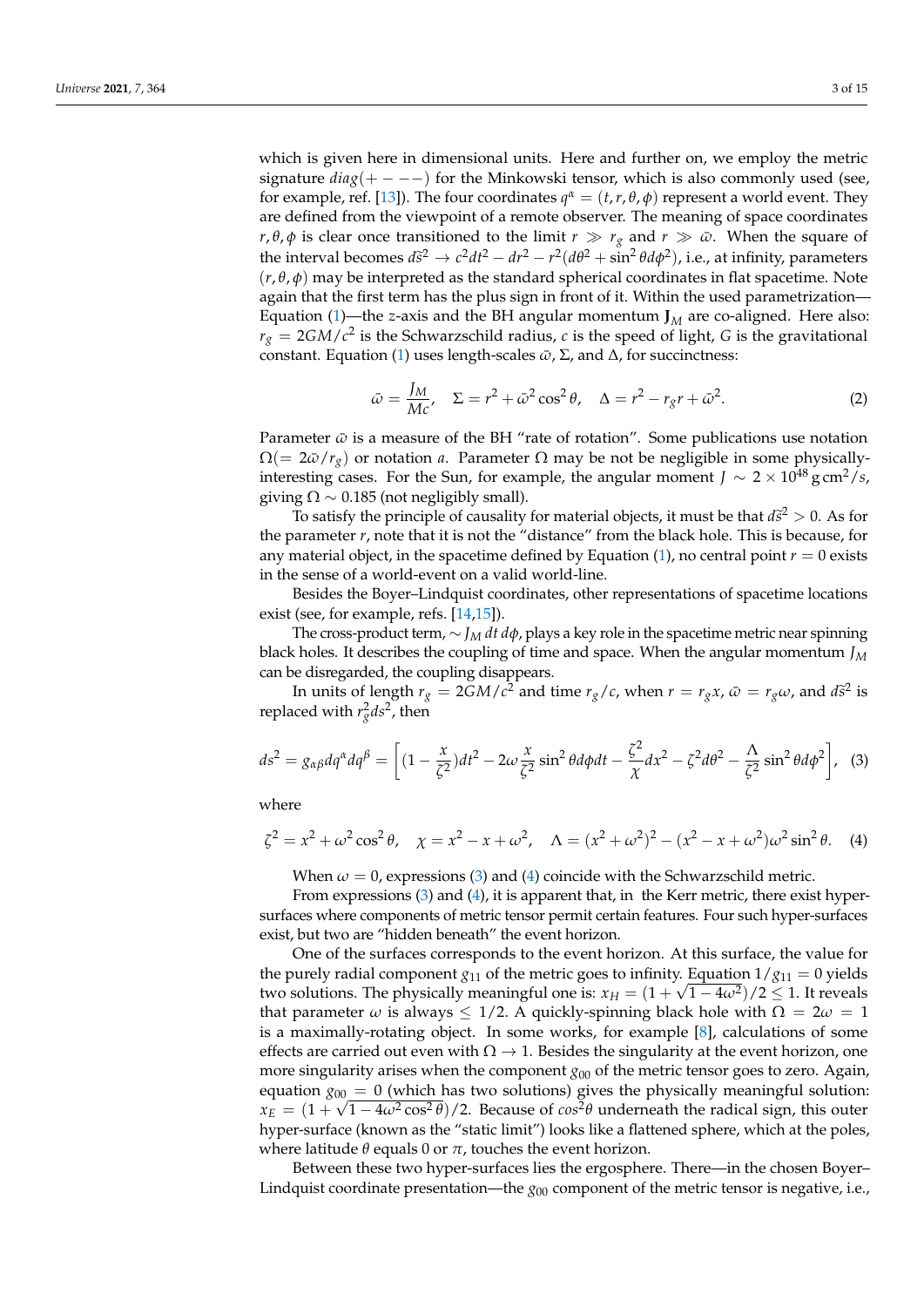which is given here in dimensional units. Here and further on, we employ the metric signature  $diag(+---)$  for the Minkowski tensor, which is also commonly used (see, for example, ref. [\[13\]](#page-13-5)). The four coordinates  $q^{\alpha} = (t, r, \theta, \phi)$  represent a world event. They are defined from the viewpoint of a remote observer. The meaning of space coordinates *r*, *θ*, *φ* is clear once transitioned to the limit *r*  $\gg r_g$  and *r*  $\gg \bar{\omega}$ . When the square of the interval becomes  $d\tilde{s}^2 \rightarrow c^2 dt^2 - dr^2 - r^2 (d\theta^2 + \sin^2 \theta d\phi^2)$ , i.e., at infinity, parameters  $(r, \theta, \phi)$  may be interpreted as the standard epherical coordinates in flat epacetime. Note  $(r, \theta, \phi)$  may be interpreted as the standard spherical coordinates in flat spacetime. Note again that the first term has the plus sign in front of it. Within the used parametrization— Equation [\(1\)](#page-1-1)—the *z*-axis and the BH angular momentum  $J_M$  are co-aligned. Here also:  $r_g = 2GM/c^2$  is the Schwarzschild radius, *c* is the speed of light, *G* is the gravitational constant. Equation [\(1\)](#page-1-1) uses length-scales  $\bar{\omega}$ , Σ, and Δ, for succinctness:

$$
\bar{\omega} = \frac{J_M}{Mc}, \quad \Sigma = r^2 + \bar{\omega}^2 \cos^2 \theta, \quad \Delta = r^2 - r_g r + \bar{\omega}^2. \tag{2}
$$

Parameter  $\bar{\omega}$  is a measure of the BH "rate of rotation". Some publications use notation  $\Omega$ (=  $2\bar{\omega}/r_g$ ) or notation *a*. Parameter  $\Omega$  may be not be negligible in some physicallyinteresting cases. For the Sun, for example, the angular moment *J* ∼ 2 × 10<sup>48</sup> g cm<sup>2</sup>/*s*, giving  $\Omega \sim 0.185$  (not negligibly small).

To satisfy the principle of causality for material objects, it must be that  $d\tilde{s}^2 > 0$ . As for the principle of causality for material objects, it must be that  $d\tilde{s}^2 > 0$ . As for the parameter *r*, note that it is not the "distance" from the black hole. This is because, for any material object, in the spacetime defined by Equation  $(1)$ , no central point  $r = 0$  exists in the sense of a world-event on a valid world-line.

Besides the Boyer–Lindquist coordinates, other representations of spacetime locations exist (see, for example, refs. [\[14](#page-13-6)[,15\]](#page-13-7)).

The cross-product term, ∼ *J<sup>M</sup> dt dφ*, plays a key role in the spacetime metric near spinning black holes. It describes the coupling of time and space. When the angular momentum *J<sup>M</sup>* can be disregarded, the coupling disappears.

In units of length  $r_g = 2GM/c^2$  and time  $r_g/c$ , when  $r = r_gx$ ,  $\bar{\omega} = r_g\omega$ , and  $d\tilde{s}^2$  is replaced with  $r_g^2 ds^2$ , then

<span id="page-2-0"></span>
$$
ds^2 = g_{\alpha\beta}dq^{\alpha}dq^{\beta} = \left[ (1 - \frac{x}{\zeta^2})dt^2 - 2\omega\frac{x}{\zeta^2}\sin^2\theta d\phi dt - \frac{\zeta^2}{\chi}dx^2 - \zeta^2 d\theta^2 - \frac{\Lambda}{\zeta^2}\sin^2\theta d\phi^2 \right], \tag{3}
$$

where

<span id="page-2-1"></span>
$$
\zeta^2 = x^2 + \omega^2 \cos^2 \theta, \quad \chi = x^2 - x + \omega^2, \quad \Lambda = (x^2 + \omega^2)^2 - (x^2 - x + \omega^2)\omega^2 \sin^2 \theta. \tag{4}
$$

When  $\omega = 0$ , expressions [\(3\)](#page-2-0) and [\(4\)](#page-2-1) coincide with the Schwarzschild metric.

From expressions [\(3\)](#page-2-0) and [\(4\)](#page-2-1), it is apparent that, in the Kerr metric, there exist hypersurfaces where components of metric tensor permit certain features. Four such hyper-surfaces exist, but two are "hidden beneath" the event horizon.

One of the surfaces corresponds to the event horizon. At this surface, the value for the purely radial component *g*<sub>11</sub> of the metric goes to infinity. Equation  $1/g_{11} = 0$  yields two solutions. The physically meaningful one is:  $x_H = (1 + \sqrt{1 - 4\omega^2})/2 \le 1$ . It reveals that parameter  $\omega$  is always  $\leq 1/2$ . A quickly-spinning black hole with  $\Omega = 2\omega = 1$ is a maximally-rotating object. In some works, for example [\[8\]](#page-13-8), calculations of some effects are carried out even with  $\Omega \to 1$ . Besides the singularity at the event horizon, one more singularity arises when the component  $g_{00}$  of the metric tensor goes to zero. Again, equation  $g_{00} = 0$  (which has two solutions) gives the physically meaningful solution:  $x_E = (1 + \sqrt{1 - 4\omega^2 \cos^2 \theta})/2$ . Because of  $cos^2 \theta$  underneath the radical sign, this outer hyper-surface (known as the "static limit") looks like a flattened sphere, which at the poles, where latitude  $\theta$  equals 0 or  $\pi$ , touches the event horizon.

Between these two hyper-surfaces lies the ergosphere. There—in the chosen Boyer– Lindquist coordinate presentation—the  $g_{00}$  component of the metric tensor is negative, i.e.,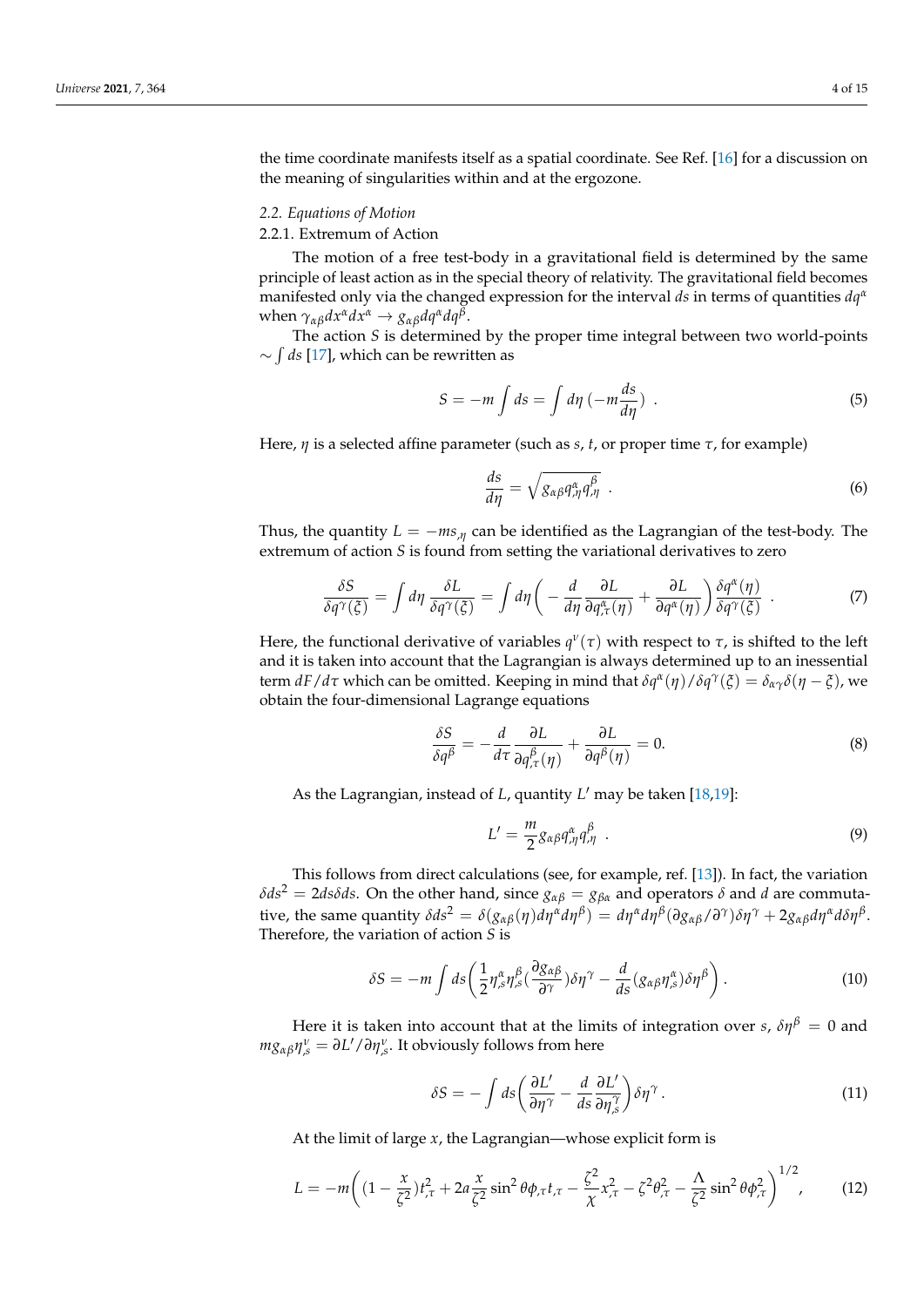the time coordinate manifests itself as a spatial coordinate. See Ref. [\[16\]](#page-14-0) for a discussion on the meaning of singularities within and at the ergozone.

#### *2.2. Equations of Motion*

#### 2.2.1. Extremum of Action

The motion of a free test-body in a gravitational field is determined by the same principle of least action as in the special theory of relativity. The gravitational field becomes manifested only via the changed expression for the interval *ds* in terms of quantities *dq<sup>α</sup>* when  $\gamma_{\alpha\beta}dx^{\alpha}dx^{\alpha} \rightarrow g_{\alpha\beta}dq^{\alpha}dq^{\beta}$ .

The action *S* is determined by the proper time integral between two world-points ∼ R *ds* [\[17\]](#page-14-1), which can be rewritten as

$$
S = -m \int ds = \int d\eta \left( -m \frac{ds}{d\eta} \right) \tag{5}
$$

Here, *η* is a selected affine parameter (such as *s*, *t*, or proper time *τ*, for example)

$$
\frac{ds}{d\eta} = \sqrt{g_{\alpha\beta}q_{,\eta}^{\alpha}q_{,\eta}^{\beta}} \tag{6}
$$

Thus, the quantity  $L = -ms_{,\eta}$  can be identified as the Lagrangian of the test-body. The extremum of action *S* is found from setting the variational derivatives to zero

$$
\frac{\delta S}{\delta q^{\gamma}(\xi)} = \int d\eta \, \frac{\delta L}{\delta q^{\gamma}(\xi)} = \int d\eta \left( -\frac{d}{d\eta} \frac{\partial L}{\partial q^{\alpha}_{,\tau}(\eta)} + \frac{\partial L}{\partial q^{\alpha}(\eta)} \right) \frac{\delta q^{\alpha}(\eta)}{\delta q^{\gamma}(\xi)} \quad . \tag{7}
$$

Here, the functional derivative of variables  $q^{\nu}(\tau)$  with respect to  $\tau$ , is shifted to the left and it is taken into account that the Lagrangian is always determined up to an inessential  $\frac{dF}{dt}$  which can be omitted. Keeping in mind that  $\delta q^{\alpha}(\eta)/\delta q^{\gamma}(\xi) = \delta_{\alpha\gamma}\delta(\eta-\xi)$ , we obtain the four-dimensional Lagrange equations

<span id="page-3-0"></span>
$$
\frac{\delta S}{\delta q^{\beta}} = -\frac{d}{d\tau} \frac{\partial L}{\partial q^{\beta}_{,\tau}(\eta)} + \frac{\partial L}{\partial q^{\beta}(\eta)} = 0.
$$
 (8)

As the Lagrangian, instead of *L*, quantity *L'* may be taken [\[18,](#page-14-2)[19\]](#page-14-3):

$$
L' = \frac{m}{2} g_{\alpha\beta} q_{,\eta}^{\alpha} q_{,\eta}^{\beta} \tag{9}
$$

This follows from direct calculations (see, for example, ref. [\[13\]](#page-13-5)). In fact, the variation *δds*<sup>2</sup> = 2*dsδds*. On the other hand, since  $g_{\alpha\beta} = g_{\beta\alpha}$  and operators *δ* and *d* are commutative, the same quantity  $\delta ds^2 = \delta(g_{\alpha\beta}(\eta) d\eta^{\alpha} d\eta^{\beta}) = d\eta^{\alpha} d\eta^{\beta} (\partial g_{\alpha\beta}/\partial^{\gamma}) \delta \eta^{\gamma} + 2g_{\alpha\beta} d\eta^{\alpha} d\delta \eta^{\beta}$ . Therefore, the variation of action *S* is

$$
\delta S = -m \int ds \left( \frac{1}{2} \eta_{,s}^{\alpha} \eta_{,s}^{\beta} \left( \frac{\partial g_{\alpha\beta}}{\partial \gamma} \right) \delta \eta^{\gamma} - \frac{d}{ds} (g_{\alpha\beta} \eta_{,s}^{\alpha}) \delta \eta^{\beta} \right). \tag{10}
$$

Here it is taken into account that at the limits of integration over *s*,  $\delta \eta^{\beta} = 0$  and *m*<sub>*8αβ</sub>* $η_s^ν = ∂L'/∂η_s^ν$ *. It obviously follows from here</sub>* 

$$
\delta S = -\int ds \left(\frac{\partial L'}{\partial \eta^{\gamma}} - \frac{d}{ds} \frac{\partial L'}{\partial \eta^{\gamma}}\right) \delta \eta^{\gamma}.
$$
 (11)

At the limit of large *x*, the Lagrangian—whose explicit form is

<span id="page-3-1"></span>
$$
L = -m\left((1 - \frac{x}{\zeta^2})t_{,\tau}^2 + 2a\frac{x}{\zeta^2}\sin^2\theta\phi_{,\tau}t_{,\tau} - \frac{\zeta^2}{\chi}x_{,\tau}^2 - \zeta^2\theta_{,\tau}^2 - \frac{\Lambda}{\zeta^2}\sin^2\theta\phi_{,\tau}^2\right)^{1/2},\tag{12}
$$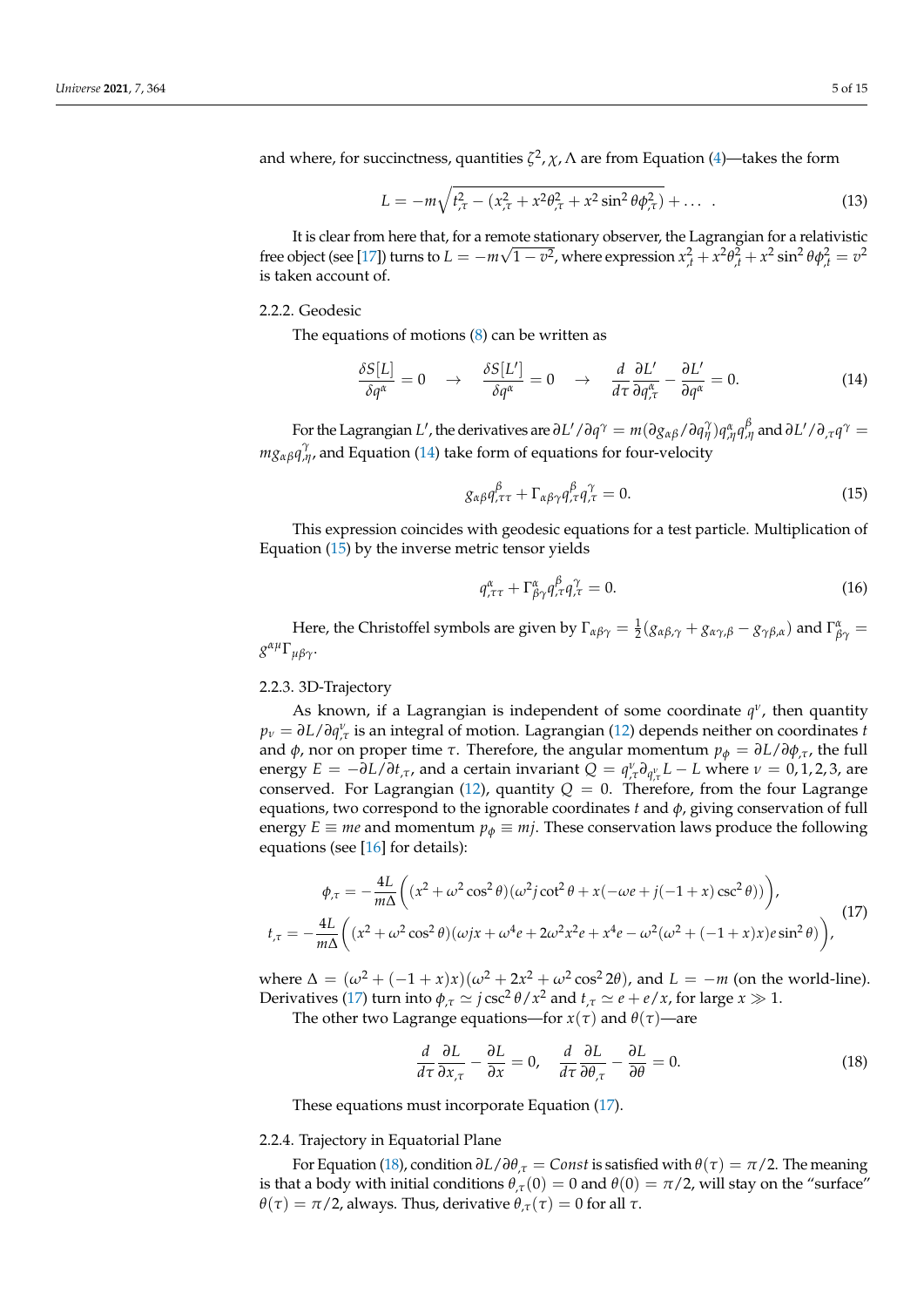and where, for succinctness, quantities  $\zeta^2$ ,  $\chi$ ,  $\Lambda$  are from Equation [\(4\)](#page-2-1)—takes the form

$$
L = -m\sqrt{t_{,\tau}^2 - (x_{,\tau}^2 + x^2\theta_{,\tau}^2 + x^2\sin^2\theta\phi_{,\tau}^2)} + \dots \tag{13}
$$

It is clear from here that, for a remote stationary observer, the Lagrangian for a relativistic free object (see [\[17\]](#page-14-1)) turns to  $L = -m\sqrt{1-v^2}$ , where expression  $x_{,t}^2 + x^2\theta_{,t}^2 + x^2\sin^2\theta\phi_{,t}^2 = v^2$ is taken account of.

## 2.2.2. Geodesic

The equations of motions [\(8\)](#page-3-0) can be written as

<span id="page-4-0"></span>
$$
\frac{\delta S[L]}{\delta q^{\alpha}} = 0 \quad \rightarrow \quad \frac{\delta S[L']}{\delta q^{\alpha}} = 0 \quad \rightarrow \quad \frac{d}{d\tau} \frac{\partial L'}{\partial q^{\alpha}_{,\tau}} - \frac{\partial L'}{\partial q^{\alpha}} = 0. \tag{14}
$$

For the Lagrangian  $L'$ , the derivatives are  $\partial L'/\partial q^\gamma=m(\partial g_{\alpha\beta}/\partial q^\gamma_\eta)q^\alpha_{,\eta}q^\beta_{,\eta}$  and  $\partial L'/\partial_\tau q^\gamma=0$ *m*<sub>*8αβ</sub>* $q$ <sup> $γ$ </sup><sub>*<i>γ*</sub></sub>, and Equation [\(14\)](#page-4-0) take form of equations for four-velocity</sub></sub>

<span id="page-4-1"></span>
$$
g_{\alpha\beta}q_{,\tau\tau}^{\beta} + \Gamma_{\alpha\beta\gamma}q_{,\tau}^{\beta}q_{,\tau}^{\gamma} = 0.
$$
 (15)

This expression coincides with geodesic equations for a test particle. Multiplication of Equation [\(15\)](#page-4-1) by the inverse metric tensor yields

$$
q_{,\tau\tau}^{\alpha} + \Gamma_{\beta\gamma}^{\alpha} q_{,\tau}^{\beta} q_{,\tau}^{\gamma} = 0.
$$
 (16)

Here, the Christoffel symbols are given by  $\Gamma_{\alpha\beta\gamma} = \frac{1}{2}(g_{\alpha\beta,\gamma} + g_{\alpha\gamma,\beta} - g_{\gamma\beta,\alpha})$  and  $\Gamma_{\beta\gamma}^{\alpha} =$ *g αµ*Γ*µβγ*.

# 2.2.3. 3D-Trajectory

As known, if a Lagrangian is independent of some coordinate *q ν* , then quantity *p<sup>ν</sup>* = *∂L*/*∂q ν* ,*τ* is an integral of motion. Lagrangian [\(12\)](#page-3-1) depends neither on coordinates *t* and *φ*, nor on proper time *τ*. Therefore, the angular momentum  $p<sub>φ</sub> = ∂L/∂φ<sub>,τ</sub>$ , the full energy  $E = -\partial L/\partial t_{\tau\tau}$ , and a certain invariant  $Q = q_{\tau\tau}^{\nu} \partial_{q_{\tau\tau}^{\nu}} L - L$  where  $\nu = 0, 1, 2, 3$ , are conserved. For Lagrangian [\(12\)](#page-3-1), quantity  $Q = 0$ . Therefore, from the four Lagrange equations, two correspond to the ignorable coordinates  $t$  and  $\phi$ , giving conservation of full energy  $E \equiv me$  and momentum  $p_{\phi} \equiv m\hat{i}$ . These conservation laws produce the following equations (see [\[16\]](#page-14-0) for details):

<span id="page-4-2"></span>
$$
\phi_{\tau} = -\frac{4L}{m\Delta} \left( (x^2 + \omega^2 \cos^2 \theta)(\omega^2 j \cot^2 \theta + x(-\omega e + j(-1+x)\csc^2 \theta)) \right),
$$
  
\n
$$
t_{\tau} = -\frac{4L}{m\Delta} \left( (x^2 + \omega^2 \cos^2 \theta)(\omega jx + \omega^4 e + 2\omega^2 x^2 e + x^4 e - \omega^2 (\omega^2 + (-1+x)x)e \sin^2 \theta) \right),
$$
\n(17)

where  $Δ = (ω<sup>2</sup> + (−1 + x)x)(ω<sup>2</sup> + 2x<sup>2</sup> + ω<sup>2</sup> cos<sup>2</sup> 2θ)$ , and  $L = −m$  (on the world-line). Derivatives [\(17\)](#page-4-2) turn into  $\phi_{,\tau} \simeq j \csc^2 \theta / x^2$  and  $t_{,\tau} \simeq e + e / x$ , for large  $x \gg 1$ .

The other two Lagrange equations—for  $x(\tau)$  and  $\theta(\tau)$ —are

<span id="page-4-3"></span>
$$
\frac{d}{d\tau}\frac{\partial L}{\partial x_{,\tau}} - \frac{\partial L}{\partial x} = 0, \quad \frac{d}{d\tau}\frac{\partial L}{\partial \theta_{,\tau}} - \frac{\partial L}{\partial \theta} = 0.
$$
 (18)

These equations must incorporate Equation [\(17\)](#page-4-2).

#### 2.2.4. Trajectory in Equatorial Plane

For Equation [\(18\)](#page-4-3), condition *∂L*/*∂θ*,*<sup>τ</sup>* = *Const* is satisfied with *θ*(*τ*) = *π*/2. The meaning is that a body with initial conditions  $\theta_{\tau}(0) = 0$  and  $\theta(0) = \pi/2$ , will stay on the "surface" *θ*(*τ*) = *π*/2, always. Thus, derivative  $θ$ <sub>*,τ*</sub>(*τ*) = 0 for all *τ*.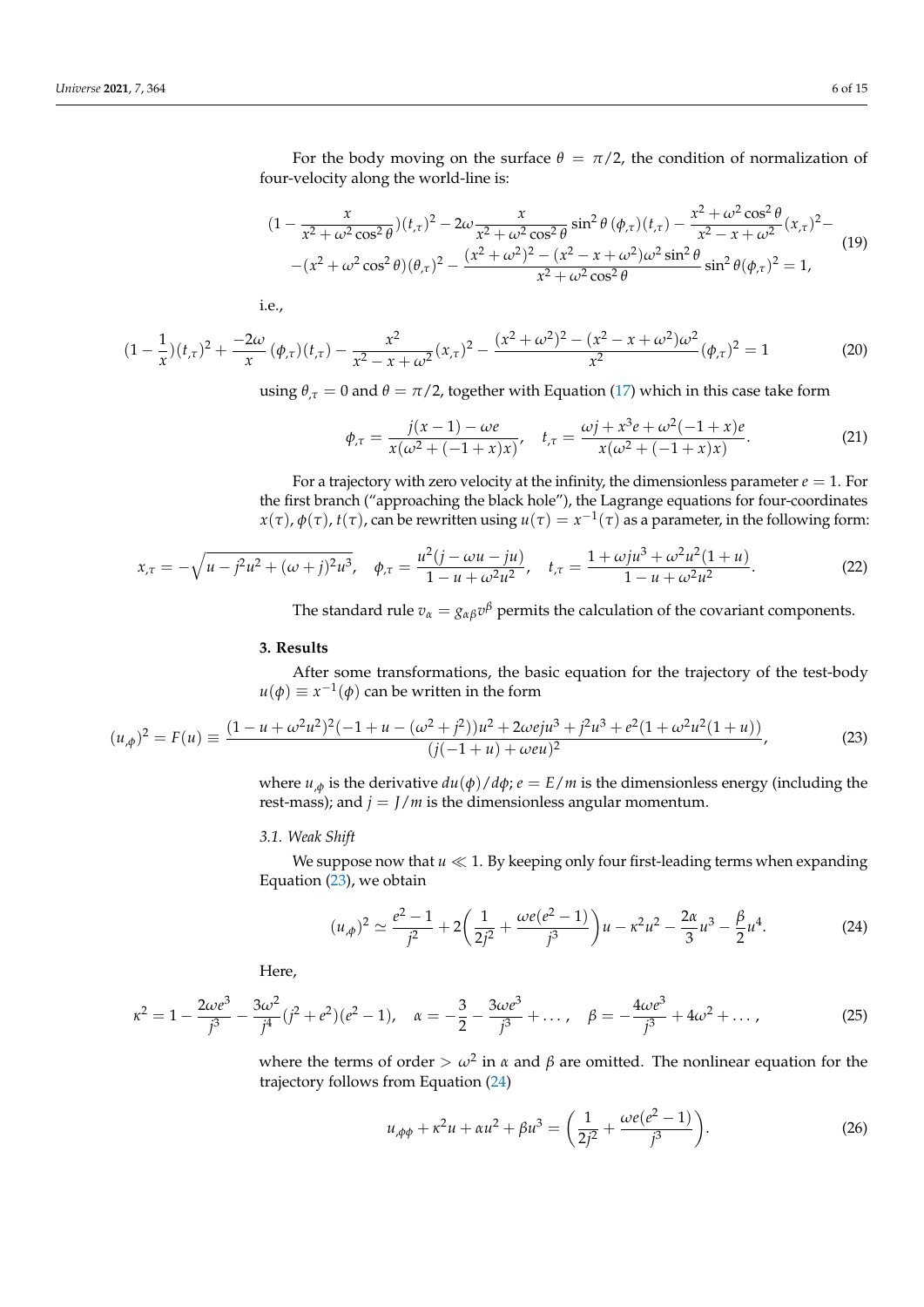For the body moving on the surface  $\theta = \pi/2$ , the condition of normalization of four-velocity along the world-line is:

$$
(1 - \frac{x}{x^2 + \omega^2 \cos^2 \theta})(t_{,\tau})^2 - 2\omega \frac{x}{x^2 + \omega^2 \cos^2 \theta} \sin^2 \theta (\phi_{,\tau})(t_{,\tau}) - \frac{x^2 + \omega^2 \cos^2 \theta}{x^2 - x + \omega^2} (x_{,\tau})^2 - (x^2 + \omega^2 \cos^2 \theta)(\theta_{,\tau})^2 - \frac{(x^2 + \omega^2)^2 - (x^2 - x + \omega^2)\omega^2 \sin^2 \theta}{x^2 + \omega^2 \cos^2 \theta} \sin^2 \theta (\phi_{,\tau})^2 = 1,
$$
\n(19)

i.e.,

$$
(1 - \frac{1}{x})(t_{,\tau})^2 + \frac{-2\omega}{x}(\phi_{,\tau})(t_{,\tau}) - \frac{x^2}{x^2 - x + \omega^2}(x_{,\tau})^2 - \frac{(x^2 + \omega^2)^2 - (x^2 - x + \omega^2)\omega^2}{x^2}(\phi_{,\tau})^2 = 1
$$
(20)

using  $\theta_{\tau} = 0$  and  $\theta = \pi/2$ , together with Equation [\(17\)](#page-4-2) which in this case take form

$$
\phi_{\tau} = \frac{j(x-1) - \omega e}{x(\omega^2 + (-1+x)x)}, \quad t_{\tau} = \frac{\omega j + x^3 e + \omega^2 (-1+x) e}{x(\omega^2 + (-1+x)x)}.
$$
\n(21)

For a trajectory with zero velocity at the infinity, the dimensionless parameter  $e = 1$ . For the first branch ("approaching the black hole"), the Lagrange equations for four-coordinates *x*(*τ*), *φ*(*τ*), *t*(*τ*), can be rewritten using  $u(τ) = x^{-1(τ)$  as a parameter, in the following form:

$$
x_{,\tau} = -\sqrt{u - j^2 u^2 + (\omega + j)^2 u^3}, \quad \phi_{,\tau} = \frac{u^2 (j - \omega u - ju)}{1 - u + \omega^2 u^2}, \quad t_{,\tau} = \frac{1 + \omega j u^3 + \omega^2 u^2 (1 + u)}{1 - u + \omega^2 u^2}.
$$
 (22)

The standard rule  $v_\alpha = g_{\alpha\beta}v^\beta$  permits the calculation of the covariant components.

#### <span id="page-5-0"></span>**3. Results**

After some transformations, the basic equation for the trajectory of the test-body  $u(\phi) \equiv x^{-1}(\phi)$  can be written in the form

<span id="page-5-1"></span>
$$
(u_{,\phi})^2 = F(u) \equiv \frac{(1 - u + \omega^2 u^2)^2 (-1 + u - (\omega^2 + j^2))u^2 + 2\omega e j u^3 + j^2 u^3 + e^2 (1 + \omega^2 u^2 (1 + u))}{(j(-1 + u) + \omega e u)^2},
$$
(23)

where  $u_{,\phi}$  is the derivative  $du(\phi)/d\phi$ ;  $e = E/m$  is the dimensionless energy (including the rest-mass); and  $j = J/m$  is the dimensionless angular momentum.

## *3.1. Weak Shift*

We suppose now that  $u \ll 1$ . By keeping only four first-leading terms when expanding Equation [\(23\)](#page-5-1), we obtain

<span id="page-5-2"></span>
$$
(u_{,\phi})^2 \simeq \frac{e^2 - 1}{j^2} + 2\left(\frac{1}{2j^2} + \frac{\omega e(e^2 - 1)}{j^3}\right)u - \kappa^2 u^2 - \frac{2\alpha}{3}u^3 - \frac{\beta}{2}u^4.
$$
 (24)

Here,

$$
\kappa^2 = 1 - \frac{2\omega e^3}{j^3} - \frac{3\omega^2}{j^4} (j^2 + e^2)(e^2 - 1), \quad \alpha = -\frac{3}{2} - \frac{3\omega e^3}{j^3} + \dots, \quad \beta = -\frac{4\omega e^3}{j^3} + 4\omega^2 + \dots,
$$
 (25)

where the terms of order  $> \omega^2$  in  $\alpha$  and  $\beta$  are omitted. The nonlinear equation for the trajectory follows from Equation [\(24\)](#page-5-2)

<span id="page-5-3"></span>
$$
u_{,\phi\phi} + \kappa^2 u + \alpha u^2 + \beta u^3 = \left(\frac{1}{2j^2} + \frac{\omega e(e^2 - 1)}{j^3}\right).
$$
 (26)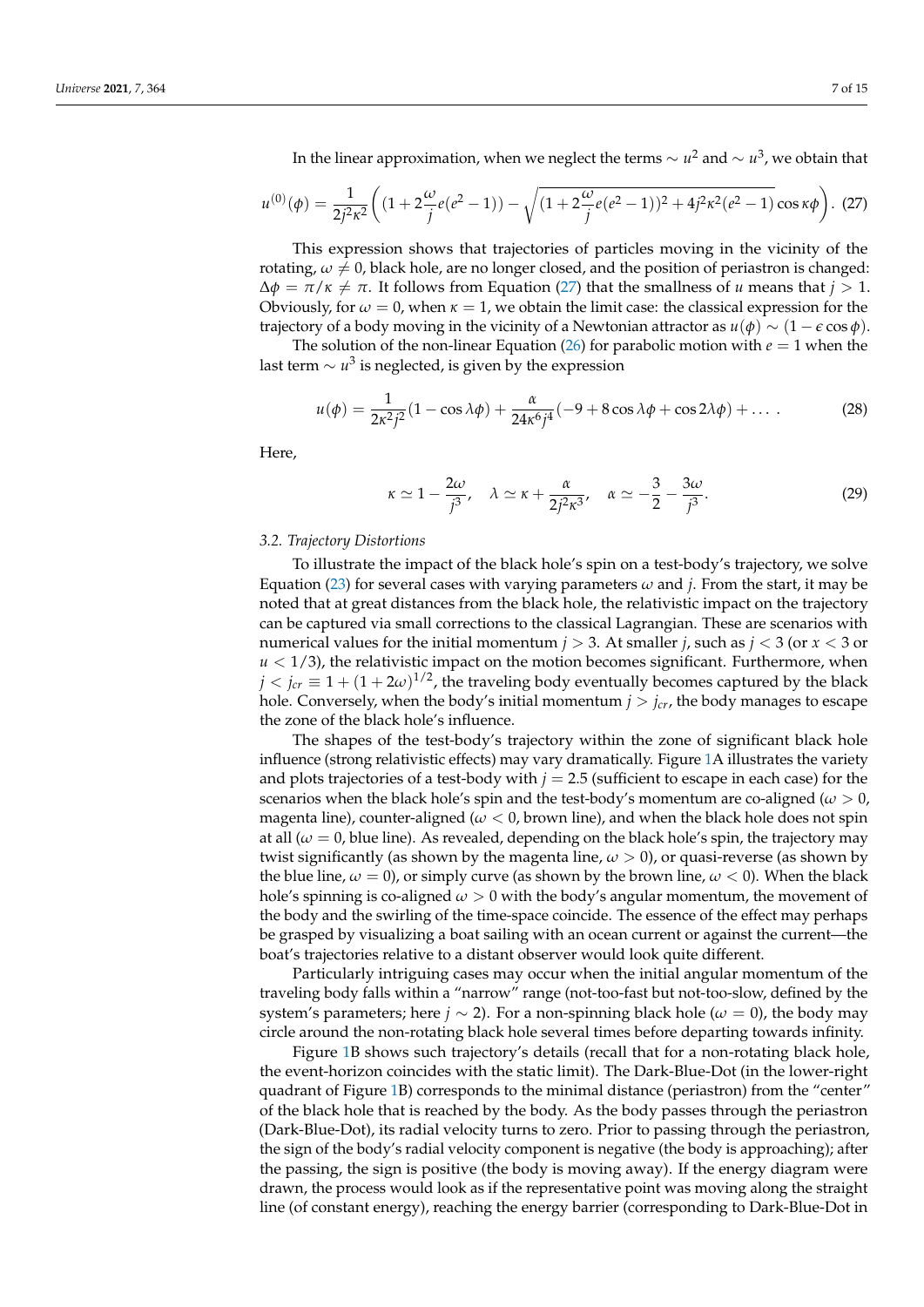In the linear approximation, when we neglect the terms ∼ *u* <sup>2</sup> and ∼ *u* 3 , we obtain that

<span id="page-6-0"></span>
$$
u^{(0)}(\phi) = \frac{1}{2j^2\kappa^2} \left( (1 + 2\frac{\omega}{j}e(e^2 - 1)) - \sqrt{(1 + 2\frac{\omega}{j}e(e^2 - 1))^2 + 4j^2\kappa^2(e^2 - 1)}\cos\kappa\phi \right). (27)
$$

This expression shows that trajectories of particles moving in the vicinity of the rotating,  $\omega \neq 0$ , black hole, are no longer closed, and the position of periastron is changed:  $\Delta \phi = \pi / \kappa \neq \pi$ . It follows from Equation [\(27\)](#page-6-0) that the smallness of *u* means that *j* > 1. Obviously, for  $\omega = 0$ , when  $\kappa = 1$ , we obtain the limit case: the classical expression for the trajectory of a body moving in the vicinity of a Newtonian attractor as  $u(\phi) \sim (1 - \epsilon \cos \phi)$ .

The solution of the non-linear Equation [\(26\)](#page-5-3) for parabolic motion with  $e = 1$  when the last term  $\sim u^3$  is neglected, is given by the expression

$$
u(\phi) = \frac{1}{2\kappa^2 j^2} (1 - \cos \lambda \phi) + \frac{\alpha}{24\kappa^6 j^4} (-9 + 8 \cos \lambda \phi + \cos 2\lambda \phi) + \dots
$$
 (28)

Here,

$$
\kappa \simeq 1 - \frac{2\omega}{j^3}, \quad \lambda \simeq \kappa + \frac{\alpha}{2j^2\kappa^3}, \quad \alpha \simeq -\frac{3}{2} - \frac{3\omega}{j^3}.
$$
 (29)

#### *3.2. Trajectory Distortions*

To illustrate the impact of the black hole's spin on a test-body's trajectory, we solve Equation [\(23\)](#page-5-1) for several cases with varying parameters  $\omega$  and *j*. From the start, it may be noted that at great distances from the black hole, the relativistic impact on the trajectory can be captured via small corrections to the classical Lagrangian. These are scenarios with numerical values for the initial momentum  $j > 3$ . At smaller *j*, such as  $j < 3$  (or  $x < 3$  or  $u < 1/3$ ), the relativistic impact on the motion becomes significant. Furthermore, when  $j < j_{cr} \equiv 1 + (1 + 2\omega)^{1/2}$ , the traveling body eventually becomes captured by the black hole. Conversely, when the body's initial momentum  $j > j_{cr}$ , the body manages to escape the zone of the black hole's influence.

The shapes of the test-body's trajectory within the zone of significant black hole influence (strong relativistic effects) may vary dramatically. Figure [1A](#page-7-0) illustrates the variety and plots trajectories of a test-body with  $j = 2.5$  (sufficient to escape in each case) for the scenarios when the black hole's spin and the test-body's momentum are co-aligned ( $\omega > 0$ , magenta line), counter-aligned ( $\omega$  < 0, brown line), and when the black hole does not spin at all  $(\omega = 0)$ , blue line). As revealed, depending on the black hole's spin, the trajectory may twist significantly (as shown by the magenta line, *ω* > 0), or quasi-reverse (as shown by the blue line,  $\omega = 0$ , or simply curve (as shown by the brown line,  $\omega < 0$ ). When the black hole's spinning is co-aligned *ω* > 0 with the body's angular momentum, the movement of the body and the swirling of the time-space coincide. The essence of the effect may perhaps be grasped by visualizing a boat sailing with an ocean current or against the current—the boat's trajectories relative to a distant observer would look quite different.

Particularly intriguing cases may occur when the initial angular momentum of the traveling body falls within a "narrow" range (not-too-fast but not-too-slow, defined by the system's parameters; here *j* ∼ 2). For a non-spinning black hole ( $\omega = 0$ ), the body may circle around the non-rotating black hole several times before departing towards infinity.

Figure [1B](#page-7-0) shows such trajectory's details (recall that for a non-rotating black hole, the event-horizon coincides with the static limit). The Dark-Blue-Dot (in the lower-right quadrant of Figure [1B](#page-7-0)) corresponds to the minimal distance (periastron) from the "center" of the black hole that is reached by the body. As the body passes through the periastron (Dark-Blue-Dot), its radial velocity turns to zero. Prior to passing through the periastron, the sign of the body's radial velocity component is negative (the body is approaching); after the passing, the sign is positive (the body is moving away). If the energy diagram were drawn, the process would look as if the representative point was moving along the straight line (of constant energy), reaching the energy barrier (corresponding to Dark-Blue-Dot in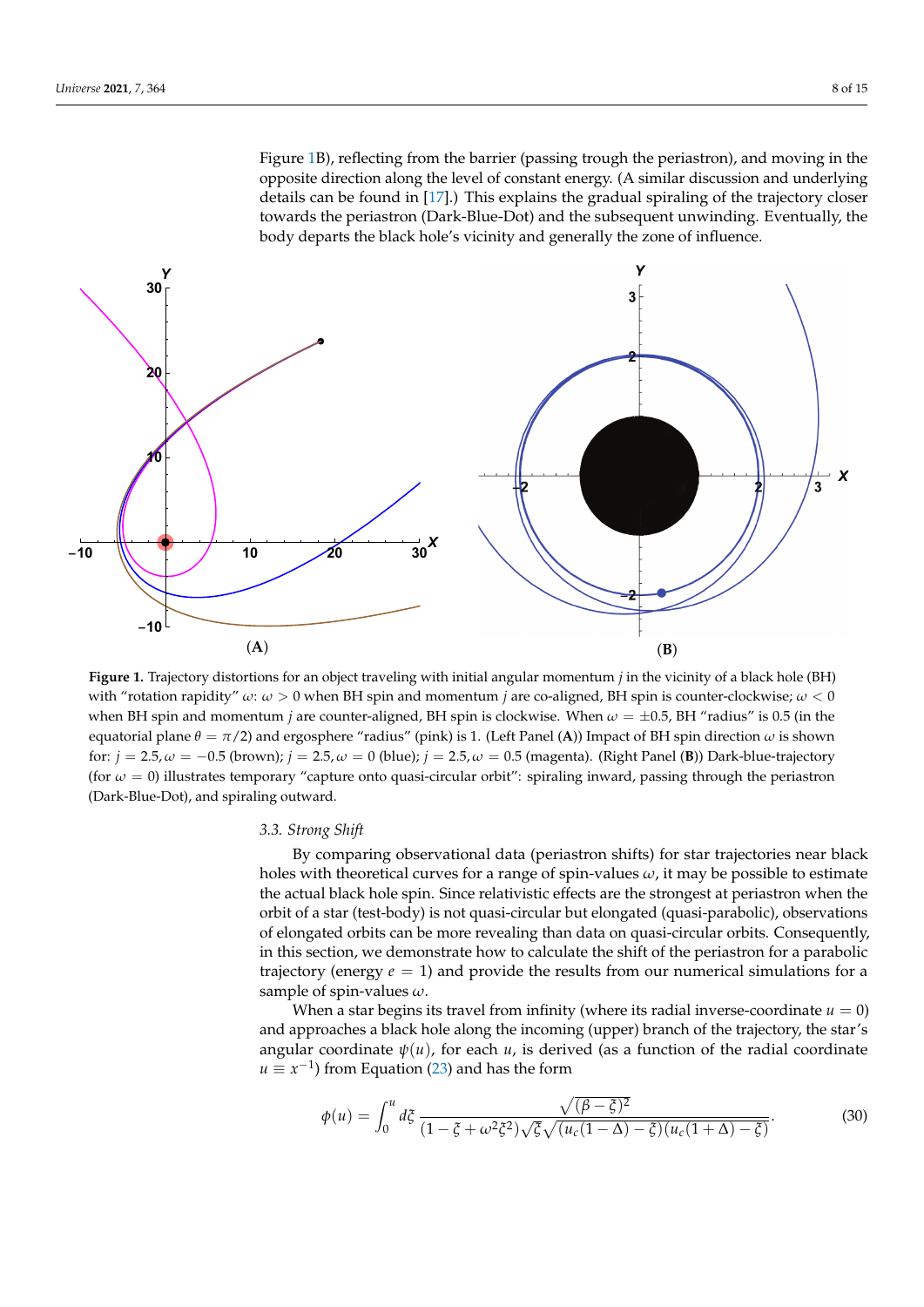Figure [1B](#page-7-0)), reflecting from the barrier (passing trough the periastron), and moving in the opposite direction along the level of constant energy. (A similar discussion and underlying details can be found in [\[17\]](#page-14-1).) This explains the gradual spiraling of the trajectory closer towards the periastron (Dark-Blue-Dot) and the subsequent unwinding. Eventually, the body departs the black hole's vicinity and generally the zone of influence.

<span id="page-7-0"></span>

**Figure 1.** Trajectory distortions for an object traveling with initial angular momentum *j* in the vicinity of a black hole (BH) with "rotation rapidity" *ω*: *ω* > 0 when BH spin and momentum *j* are co-aligned, BH spin is counter-clockwise; *ω* < 0 when BH spin and momentum *j* are counter-aligned, BH spin is clockwise. When *ω* = ±0.5, BH "radius" is 0.5 (in the equatorial plane *θ* = *π*/2) and ergosphere "radius" (pink) is 1. (Left Panel (**A**)) Impact of BH spin direction *ω* is shown for:  $j = 2.5, \omega = -0.5$  (brown);  $j = 2.5, \omega = 0$  (blue);  $j = 2.5, \omega = 0.5$  (magenta). (Right Panel (**B**)) Dark-blue-trajectory (for  $\omega = 0$ ) illustrates temporary "capture onto quasi-circular orbit": spiraling inward, passing through the periastron (Dark-Blue-Dot), and spiraling outward.

#### *3.3. Strong Shift*

By comparing observational data (periastron shifts) for star trajectories near black holes with theoretical curves for a range of spin-values *ω*, it may be possible to estimate the actual black hole spin. Since relativistic effects are the strongest at periastron when the orbit of a star (test-body) is not quasi-circular but elongated (quasi-parabolic), observations of elongated orbits can be more revealing than data on quasi-circular orbits. Consequently, in this section, we demonstrate how to calculate the shift of the periastron for a parabolic trajectory (energy *e* = 1) and provide the results from our numerical simulations for a sample of spin-values *ω*.

When a star begins its travel from infinity (where its radial inverse-coordinate  $u = 0$ ) and approaches a black hole along the incoming (upper) branch of the trajectory, the star's angular coordinate  $\psi(u)$ , for each  $u$ , is derived (as a function of the radial coordinate  $u \equiv x^{-1}$ ) from Equation [\(23\)](#page-5-1) and has the form

$$
\phi(u) = \int_0^u d\xi \frac{\sqrt{(\beta - \xi)^2}}{(1 - \xi + \omega^2 \xi^2) \sqrt{\xi} \sqrt{(u_c(1 - \Delta) - \xi)(u_c(1 + \Delta) - \xi)}}.
$$
\n(30)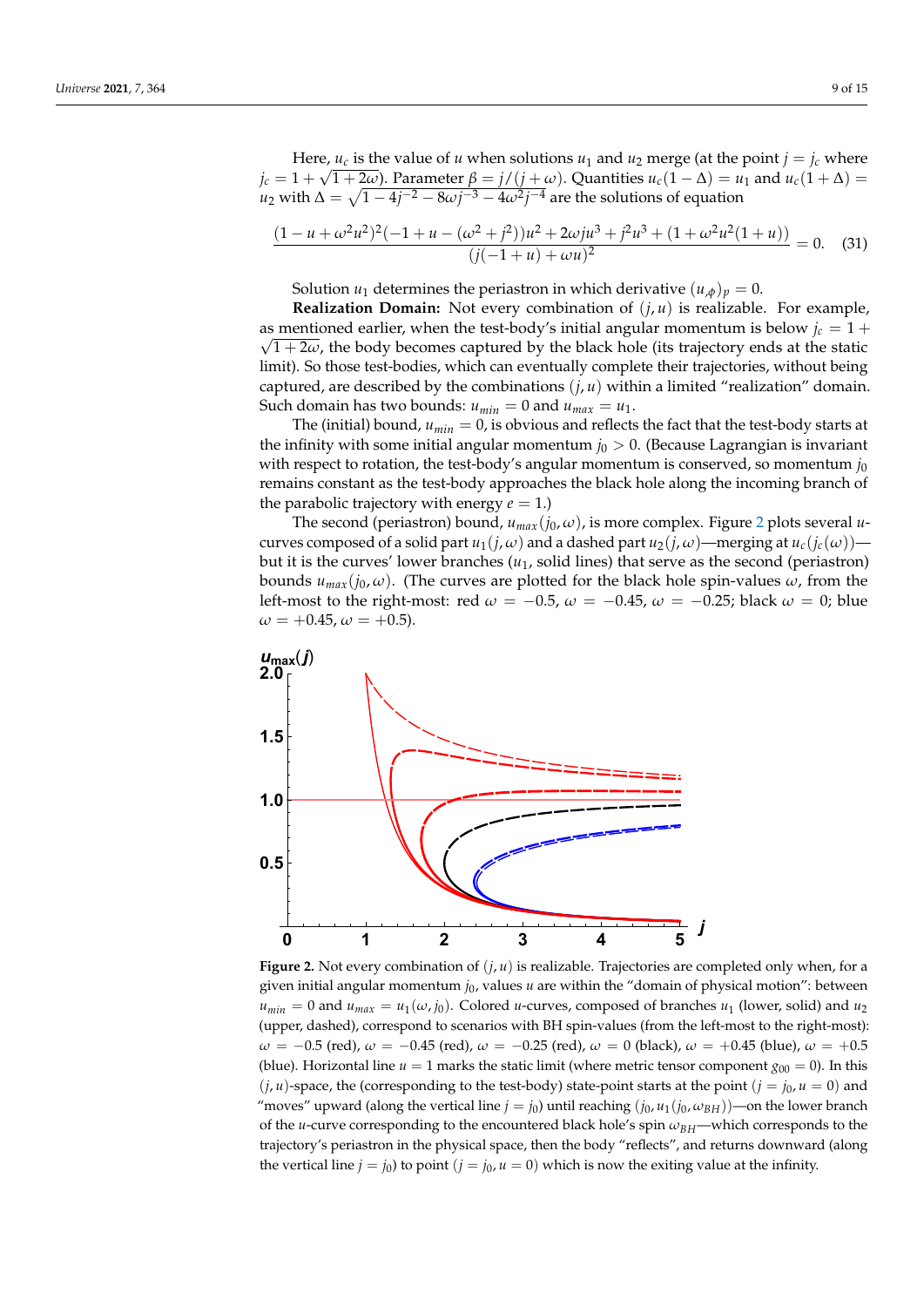Here, *u<sub>c</sub>* is the value of *u* when solutions *u*<sub>1</sub> and *u*<sub>2</sub> merge (at the point *j* = *j<sub>c</sub>* where *j*<sub>c</sub> = 1 +  $\sqrt{1 + 2\omega}$ ). Parameter  $\beta = j/(j + \omega)$ . Quantities  $u_c(1 - \Delta) = u_1$  and  $u_c(1 + \Delta) =$  $u_2$  with Δ =  $\sqrt{1-4j^{-2}-8\omega j^{-3}-4\omega^2 j^{-4}}$  are the solutions of equation

$$
\frac{(1-u+\omega^2u^2)^2(-1+u-(\omega^2+j^2))u^2+2\omega ju^3+j^2u^3+(1+\omega^2u^2(1+u))}{(j(-1+u)+\omega u)^2}=0.
$$
 (31)

Solution *u*<sub>1</sub> determines the periastron in which derivative  $(u_{,\phi})_p = 0$ .

**Realization Domain:** Not every combination of  $(j, u)$  is realizable. For example, as mentioned earlier, when the test-body's initial angular momentum is below  $j_c = 1 + \sqrt{m}$  $\sqrt{1+2\omega}$ , the body becomes captured by the black hole (its trajectory ends at the static limit). So those test-bodies, which can eventually complete their trajectories, without being captured, are described by the combinations  $(i, u)$  within a limited "realization" domain. Such domain has two bounds:  $u_{min} = 0$  and  $u_{max} = u_1$ .

The (initial) bound,  $u_{min} = 0$ , is obvious and reflects the fact that the test-body starts at the infinity with some initial angular momentum  $j_0 > 0$ . (Because Lagrangian is invariant with respect to rotation, the test-body's angular momentum is conserved, so momentum  $j_0$ remains constant as the test-body approaches the black hole along the incoming branch of the parabolic trajectory with energy  $e = 1$ .)

The second (periastron) bound,  $u_{max}(j_0, \omega)$ , is more complex. Figure [2](#page-8-0) plots several *u*curves composed of a solid part  $u_1(j, \omega)$  and a dashed part  $u_2(j, \omega)$ —merging at  $u_c(j_c(\omega))$  but it is the curves' lower branches (*u*1, solid lines) that serve as the second (periastron) bounds  $u_{max}(j_0, \omega)$ . (The curves are plotted for the black hole spin-values  $\omega$ , from the left-most to the right-most: red  $\omega = -0.5$ ,  $\omega = -0.45$ ,  $\omega = -0.25$ ; black  $\omega = 0$ ; blue  $\omega = +0.45$ ,  $\omega = +0.5$ ).

<span id="page-8-0"></span>

**Figure 2.** Not every combination of  $(j, u)$  is realizable. Trajectories are completed only when, for a given initial angular momentum  $j_0$ , values  $u$  are within the "domain of physical motion": between  $u_{min} = 0$  and  $u_{max} = u_1(\omega, j_0)$ . Colored *u*-curves, composed of branches  $u_1$  (lower, solid) and  $u_2$ (upper, dashed), correspond to scenarios with BH spin-values (from the left-most to the right-most):  $\omega = -0.5$  (red),  $\omega = -0.45$  (red),  $\omega = -0.25$  (red),  $\omega = 0$  (black),  $\omega = +0.45$  (blue),  $\omega = +0.5$ (blue). Horizontal line  $u = 1$  marks the static limit (where metric tensor component  $g_{00} = 0$ ). In this  $(j, u)$ -space, the (corresponding to the test-body) state-point starts at the point  $(j = j_0, u = 0)$  and "moves" upward (along the vertical line  $j = j_0$ ) until reaching  $(j_0, u_1(j_0, \omega_{BH}))$ —on the lower branch of the *u*-curve corresponding to the encountered black hole's spin *ωBH*—which corresponds to the trajectory's periastron in the physical space, then the body "reflects", and returns downward (along the vertical line  $j = j_0$ ) to point  $(j = j_0, u = 0)$  which is now the exiting value at the infinity.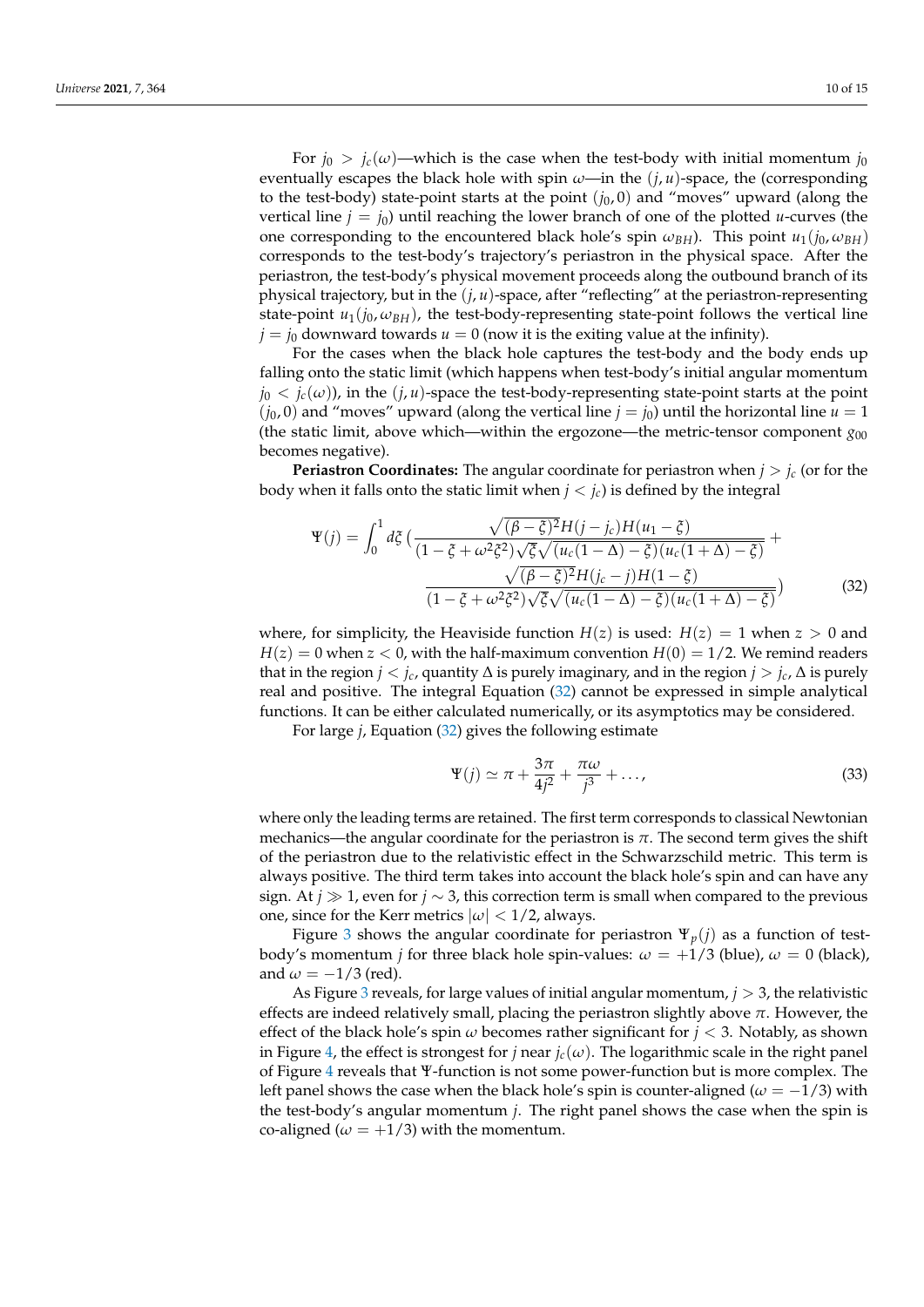For  $j_0 > j_c(\omega)$ —which is the case when the test-body with initial momentum  $j_0$ eventually escapes the black hole with spin  $\omega$ —in the  $(j, u)$ -space, the (corresponding to the test-body) state-point starts at the point  $(j_0, 0)$  and "moves" upward (along the vertical line  $j = j_0$ ) until reaching the lower branch of one of the plotted *u*-curves (the one corresponding to the encountered black hole's spin  $\omega_{BH}$ ). This point  $u_1(j_0, \omega_{BH})$ corresponds to the test-body's trajectory's periastron in the physical space. After the periastron, the test-body's physical movement proceeds along the outbound branch of its physical trajectory, but in the (*j*, *u*)-space, after "reflecting" at the periastron-representing state-point  $u_1(i_0, \omega_{BH})$ , the test-body-representing state-point follows the vertical line  $j = j_0$  downward towards  $u = 0$  (now it is the exiting value at the infinity).

For the cases when the black hole captures the test-body and the body ends up falling onto the static limit (which happens when test-body's initial angular momentum  $j_0 < j_c(\omega)$ ), in the  $(j, u)$ -space the test-body-representing state-point starts at the point  $(j_0, 0)$  and "moves" upward (along the vertical line  $j = j_0$ ) until the horizontal line  $u = 1$ (the static limit, above which—within the ergozone—the metric-tensor component  $g_{00}$ becomes negative).

**Periastron Coordinates:** The angular coordinate for periastron when  $j > j_c$  (or for the body when it falls onto the static limit when  $j < j_c$ ) is defined by the integral

<span id="page-9-0"></span>
$$
\Psi(j) = \int_0^1 d\xi \left( \frac{\sqrt{(\beta - \xi)^2} H(j - j_c) H(u_1 - \xi)}{(1 - \xi + \omega^2 \xi^2) \sqrt{\xi} \sqrt{(u_c(1 - \Delta) - \xi)} (u_c(1 + \Delta) - \xi)} + \frac{\sqrt{(\beta - \xi)^2} H(j_c - j) H(1 - \xi)}{(1 - \xi + \omega^2 \xi^2) \sqrt{\xi} \sqrt{(u_c(1 - \Delta) - \xi)} (u_c(1 + \Delta) - \xi)} \right)
$$
(32)

where, for simplicity, the Heaviside function  $H(z)$  is used:  $H(z) = 1$  when  $z > 0$  and  $H(z) = 0$  when  $z < 0$ , with the half-maximum convention  $H(0) = 1/2$ . We remind readers that in the region *j* < *jc*, quantity ∆ is purely imaginary, and in the region *j* > *jc*, ∆ is purely real and positive. The integral Equation [\(32\)](#page-9-0) cannot be expressed in simple analytical functions. It can be either calculated numerically, or its asymptotics may be considered.

For large *j*, Equation [\(32\)](#page-9-0) gives the following estimate

$$
\Psi(j) \simeq \pi + \frac{3\pi}{4j^2} + \frac{\pi\omega}{j^3} + \dots,
$$
\n(33)

where only the leading terms are retained. The first term corresponds to classical Newtonian mechanics—the angular coordinate for the periastron is  $\pi$ . The second term gives the shift of the periastron due to the relativistic effect in the Schwarzschild metric. This term is always positive. The third term takes into account the black hole's spin and can have any sign. At *j* 1, even for *j* ∼ 3, this correction term is small when compared to the previous one, since for the Kerr metrics  $|\omega|$  < 1/2, always.

Figure [3](#page-10-0) shows the angular coordinate for periastron  $\Psi_p(i)$  as a function of testbody's momentum *j* for three black hole spin-values:  $\omega = +1/3$  (blue),  $\omega = 0$  (black), and  $\omega = -1/3$  (red).

As Figure [3](#page-10-0) reveals, for large values of initial angular momentum, *j* > 3, the relativistic effects are indeed relatively small, placing the periastron slightly above *π*. However, the effect of the black hole's spin *ω* becomes rather significant for *j* < 3. Notably, as shown in Figure [4,](#page-10-1) the effect is strongest for *j* near  $j_c(\omega)$ . The logarithmic scale in the right panel of Figure [4](#page-10-1) reveals that Ψ-function is not some power-function but is more complex. The left panel shows the case when the black hole's spin is counter-aligned ( $\omega = -1/3$ ) with the test-body's angular momentum *j*. The right panel shows the case when the spin is co-aligned ( $\omega = +1/3$ ) with the momentum.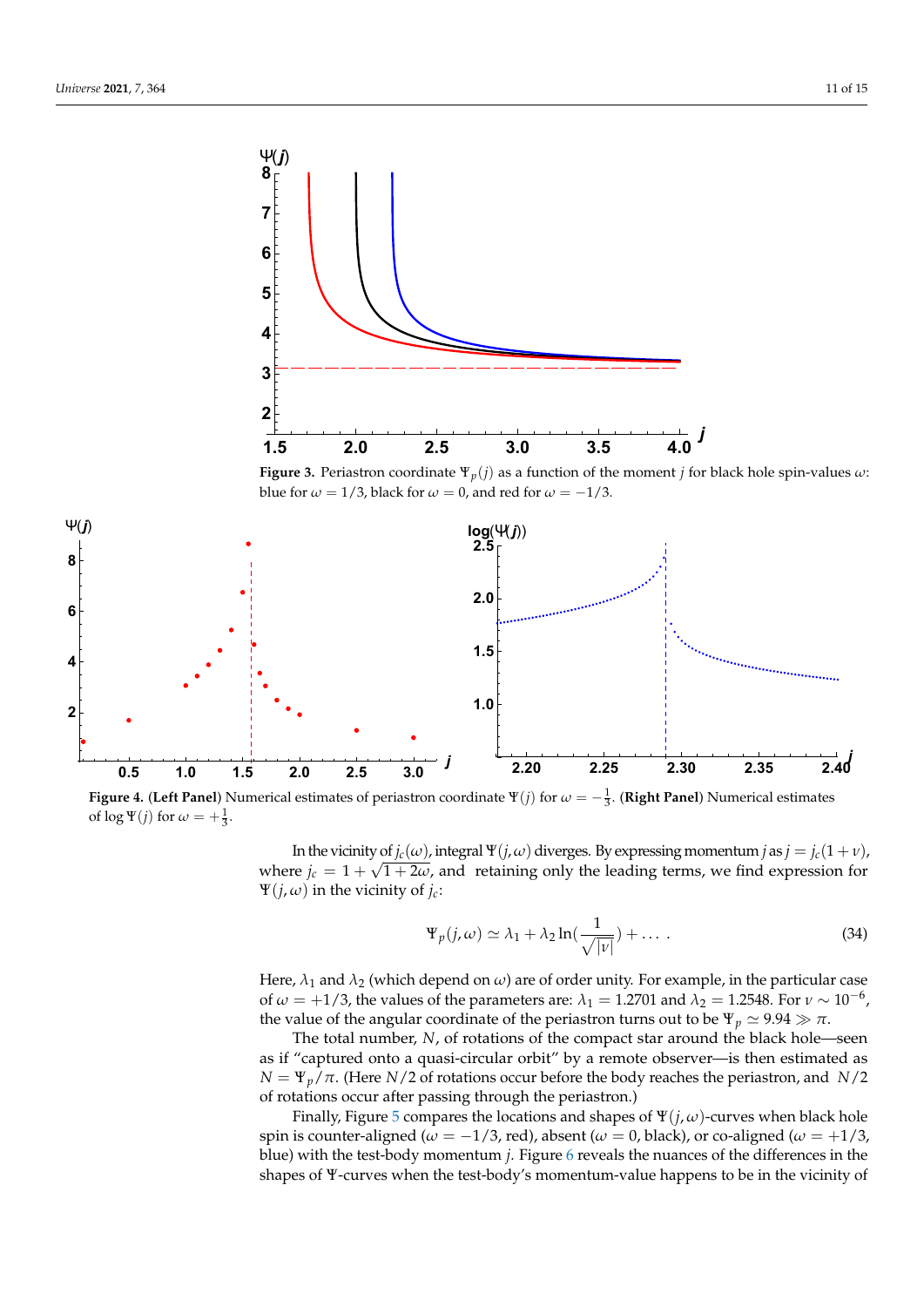<span id="page-10-0"></span>

<span id="page-10-1"></span>**Figure 4.** (Left Panel) Numerical estimates of periastron coordinate  $\Psi(j)$  for  $\omega = -\frac{1}{3}$ . (Right Panel) Numerical estimates of  $\log \Psi(j)$  for  $\omega = +\frac{1}{3}$ .

In the vicinity of  $j_c(\omega)$ , integral  $\Psi(j, \omega)$  diverges. By expressing momentum *j* as  $j = j_c(1 + \nu)$ , where  $j_c = 1 + \sqrt{1 + 2\omega}$ , and retaining only the leading terms, we find expression for Ψ(*j*, *ω*) in the vicinity of *jc*:

<span id="page-10-2"></span>
$$
\Psi_p(j,\omega) \simeq \lambda_1 + \lambda_2 \ln(\frac{1}{\sqrt{|v|}}) + \dots \tag{34}
$$

Here,  $\lambda_1$  and  $\lambda_2$  (which depend on  $\omega$ ) are of order unity. For example, in the particular case of  $\omega = +1/3$ , the values of the parameters are:  $\lambda_1 = 1.2701$  and  $\lambda_2 = 1.2548$ . For  $\nu \sim 10^{-6}$ , the value of the angular coordinate of the periastron turns out to be  $\Psi_p \simeq 9.94 \gg \pi$ .

The total number, *N*, of rotations of the compact star around the black hole—seen as if "captured onto a quasi-circular orbit" by a remote observer—is then estimated as  $N = \Psi_p / \pi$ . (Here *N*/2 of rotations occur before the body reaches the periastron, and *N*/2 of rotations occur after passing through the periastron.)

Finally, Figure [5](#page-11-1) compares the locations and shapes of  $\Psi(j,\omega)$ -curves when black hole spin is counter-aligned ( $\omega = -1/3$ , red), absent ( $\omega = 0$ , black), or co-aligned ( $\omega = +1/3$ , blue) with the test-body momentum *j*. Figure [6](#page-11-2) reveals the nuances of the differences in the shapes of Ψ-curves when the test-body's momentum-value happens to be in the vicinity of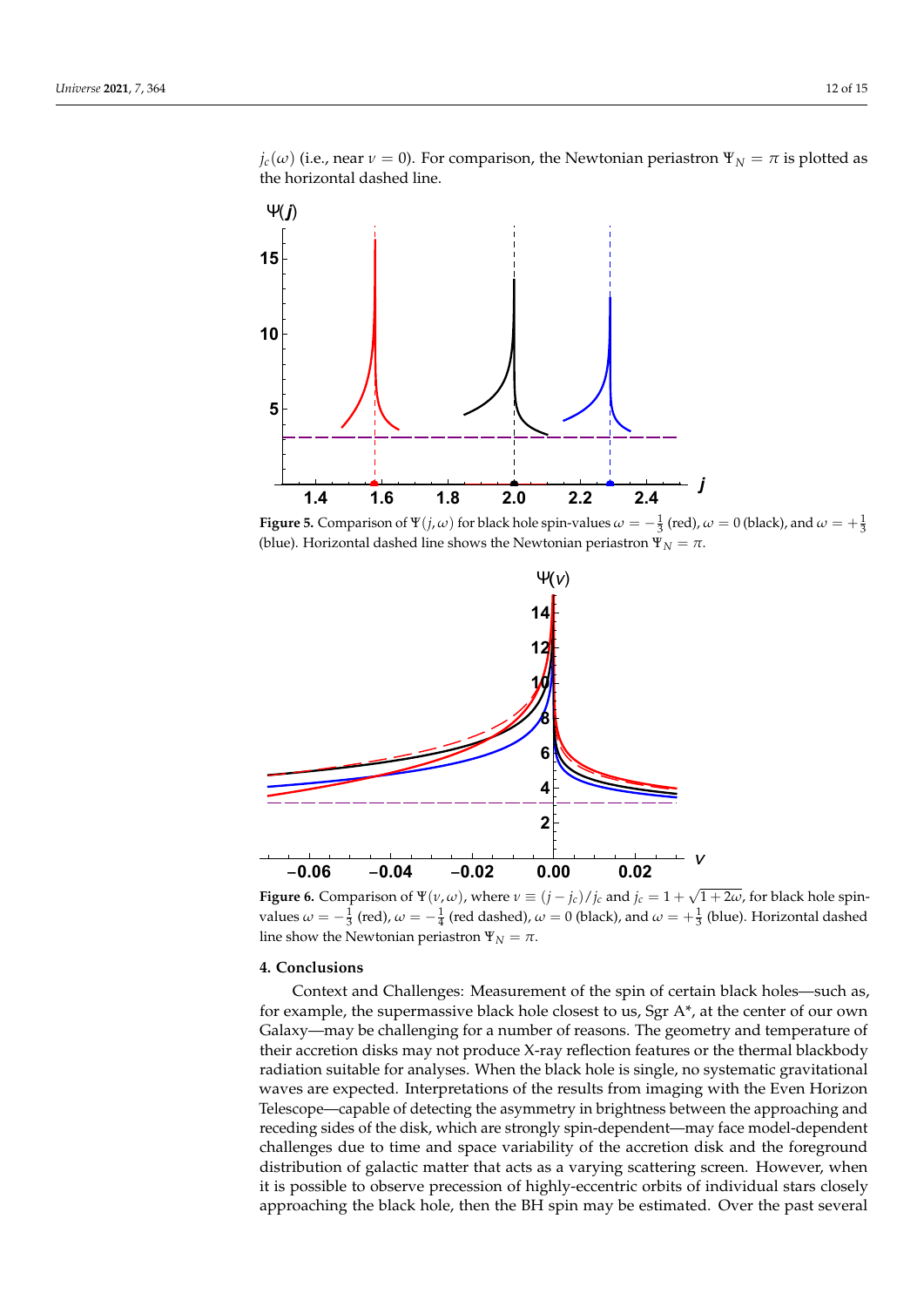$j_c(\omega)$  (i.e., near  $\nu = 0$ ). For comparison, the Newtonian periastron  $\Psi_N = \pi$  is plotted as the horizontal dashed line.

<span id="page-11-1"></span>

**Figure 5.** Comparison of  $\Psi(j,\omega)$  for black hole spin-values  $\omega=-\frac{1}{3}$  (red),  $\omega=0$  (black), and  $\omega=+\frac{1}{3}$ (blue). Horizontal dashed line shows the Newtonian periastron  $\Psi_N = \pi$ .

<span id="page-11-2"></span>

**Figure 6.** Comparison of  $\Psi(\nu, \omega)$ , where  $\nu \equiv (j - j_c)/j_c$  and  $j_c = 1 + \sqrt{1 + 2\omega}$ , for black hole spinvalues  $\omega = -\frac{1}{3}$  (red),  $\omega = -\frac{1}{4}$  (red dashed),  $\omega = 0$  (black), and  $\omega = +\frac{1}{3}$  (blue). Horizontal dashed line show the Newtonian periastron  $\Psi_N = \pi$ .

# <span id="page-11-0"></span>**4. Conclusions**

Context and Challenges: Measurement of the spin of certain black holes—such as, for example, the supermassive black hole closest to us, Sgr A\*, at the center of our own Galaxy—may be challenging for a number of reasons. The geometry and temperature of their accretion disks may not produce X-ray reflection features or the thermal blackbody radiation suitable for analyses. When the black hole is single, no systematic gravitational waves are expected. Interpretations of the results from imaging with the Even Horizon Telescope—capable of detecting the asymmetry in brightness between the approaching and receding sides of the disk, which are strongly spin-dependent—may face model-dependent challenges due to time and space variability of the accretion disk and the foreground distribution of galactic matter that acts as a varying scattering screen. However, when it is possible to observe precession of highly-eccentric orbits of individual stars closely approaching the black hole, then the BH spin may be estimated. Over the past several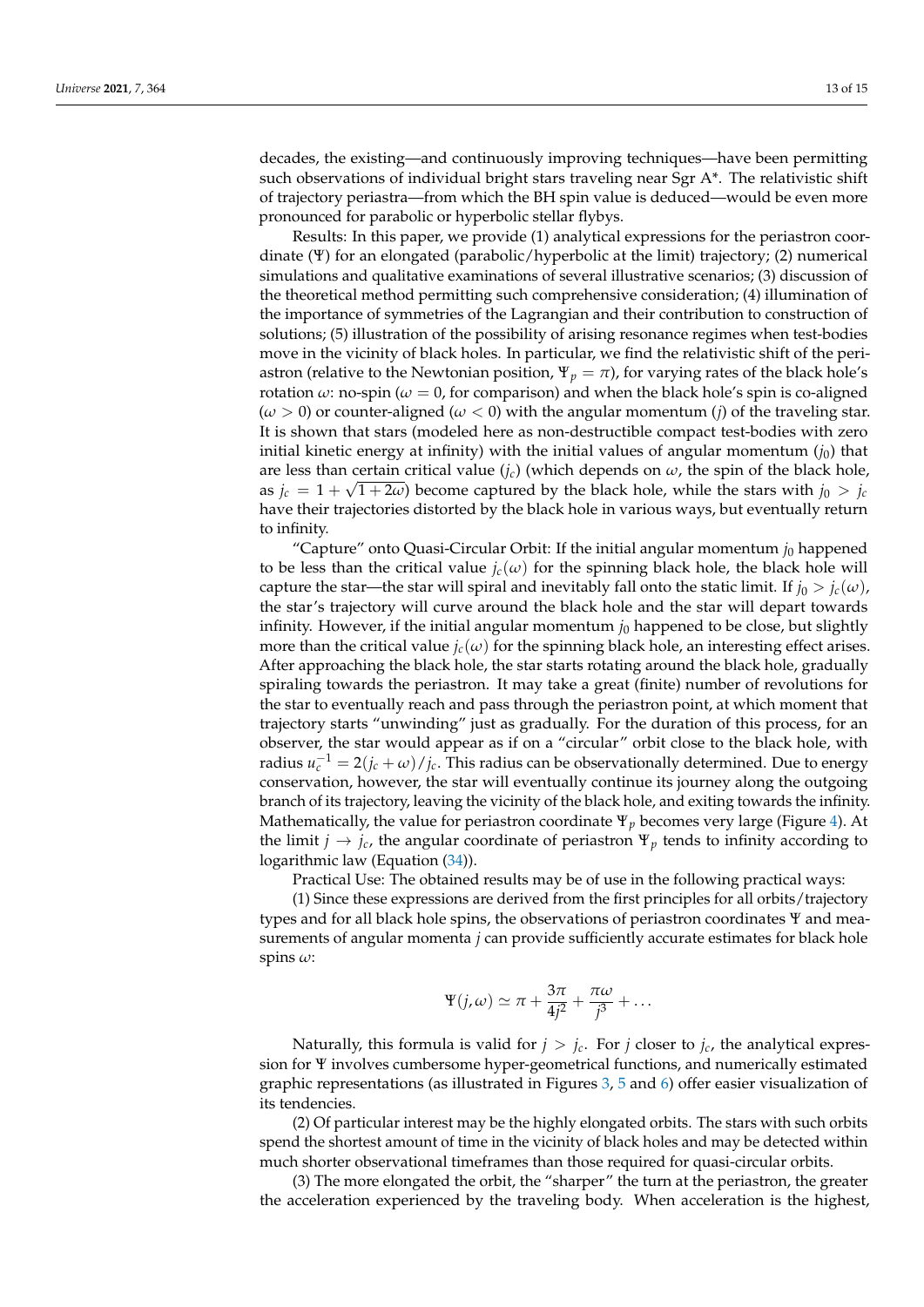decades, the existing—and continuously improving techniques—have been permitting such observations of individual bright stars traveling near Sgr A\*. The relativistic shift of trajectory periastra—from which the BH spin value is deduced—would be even more pronounced for parabolic or hyperbolic stellar flybys.

Results: In this paper, we provide (1) analytical expressions for the periastron coordinate (Ψ) for an elongated (parabolic/hyperbolic at the limit) trajectory; (2) numerical simulations and qualitative examinations of several illustrative scenarios; (3) discussion of the theoretical method permitting such comprehensive consideration; (4) illumination of the importance of symmetries of the Lagrangian and their contribution to construction of solutions; (5) illustration of the possibility of arising resonance regimes when test-bodies move in the vicinity of black holes. In particular, we find the relativistic shift of the periastron (relative to the Newtonian position,  $\Psi_p = \pi$ ), for varying rates of the black hole's rotation  $\omega$ : no-spin ( $\omega = 0$ , for comparison) and when the black hole's spin is co-aligned (*ω* > 0) or counter-aligned (*ω* < 0) with the angular momentum (*j*) of the traveling star. It is shown that stars (modeled here as non-destructible compact test-bodies with zero initial kinetic energy at infinity) with the initial values of angular momentum  $(j_0)$  that are less than certain critical value  $(j_c)$  (which depends on  $\omega$ , the spin of the black hole, as  $j_c = 1 + \sqrt{1 + 2\omega}$  become captured by the black hole, while the stars with  $j_0 > j_c$ have their trajectories distorted by the black hole in various ways, but eventually return to infinity.

"Capture" onto Quasi-Circular Orbit: If the initial angular momentum  $j_0$  happened to be less than the critical value  $j_c(\omega)$  for the spinning black hole, the black hole will capture the star—the star will spiral and inevitably fall onto the static limit. If  $j_0 > j_c(\omega)$ , the star's trajectory will curve around the black hole and the star will depart towards infinity. However, if the initial angular momentum  $j_0$  happened to be close, but slightly more than the critical value  $j_c(\omega)$  for the spinning black hole, an interesting effect arises. After approaching the black hole, the star starts rotating around the black hole, gradually spiraling towards the periastron. It may take a great (finite) number of revolutions for the star to eventually reach and pass through the periastron point, at which moment that trajectory starts "unwinding" just as gradually. For the duration of this process, for an observer, the star would appear as if on a "circular" orbit close to the black hole, with radius  $u_c^{-1} = 2(j_c + \omega)/j_c$ . This radius can be observationally determined. Due to energy conservation, however, the star will eventually continue its journey along the outgoing branch of its trajectory, leaving the vicinity of the black hole, and exiting towards the infinity. Mathematically, the value for periastron coordinate Ψ*<sup>p</sup>* becomes very large (Figure [4\)](#page-10-1). At the limit  $j \rightarrow j_c$ , the angular coordinate of periastron  $\Psi_p$  tends to infinity according to logarithmic law (Equation [\(34\)](#page-10-2)).

Practical Use: The obtained results may be of use in the following practical ways:

(1) Since these expressions are derived from the first principles for all orbits/trajectory types and for all black hole spins, the observations of periastron coordinates Ψ and measurements of angular momenta *j* can provide sufficiently accurate estimates for black hole spins *ω*:

$$
\Psi(j,\omega) \simeq \pi + \frac{3\pi}{4j^2} + \frac{\pi\omega}{j^3} + \dots
$$

Naturally, this formula is valid for  $j > j_c$ . For *j* closer to  $j_c$ , the analytical expression for Ψ involves cumbersome hyper-geometrical functions, and numerically estimated graphic representations (as illustrated in Figures  $3, 5$  $3, 5$  $3, 5$  and  $6$ ) offer easier visualization of its tendencies.

(2) Of particular interest may be the highly elongated orbits. The stars with such orbits spend the shortest amount of time in the vicinity of black holes and may be detected within much shorter observational timeframes than those required for quasi-circular orbits.

(3) The more elongated the orbit, the "sharper" the turn at the periastron, the greater the acceleration experienced by the traveling body. When acceleration is the highest,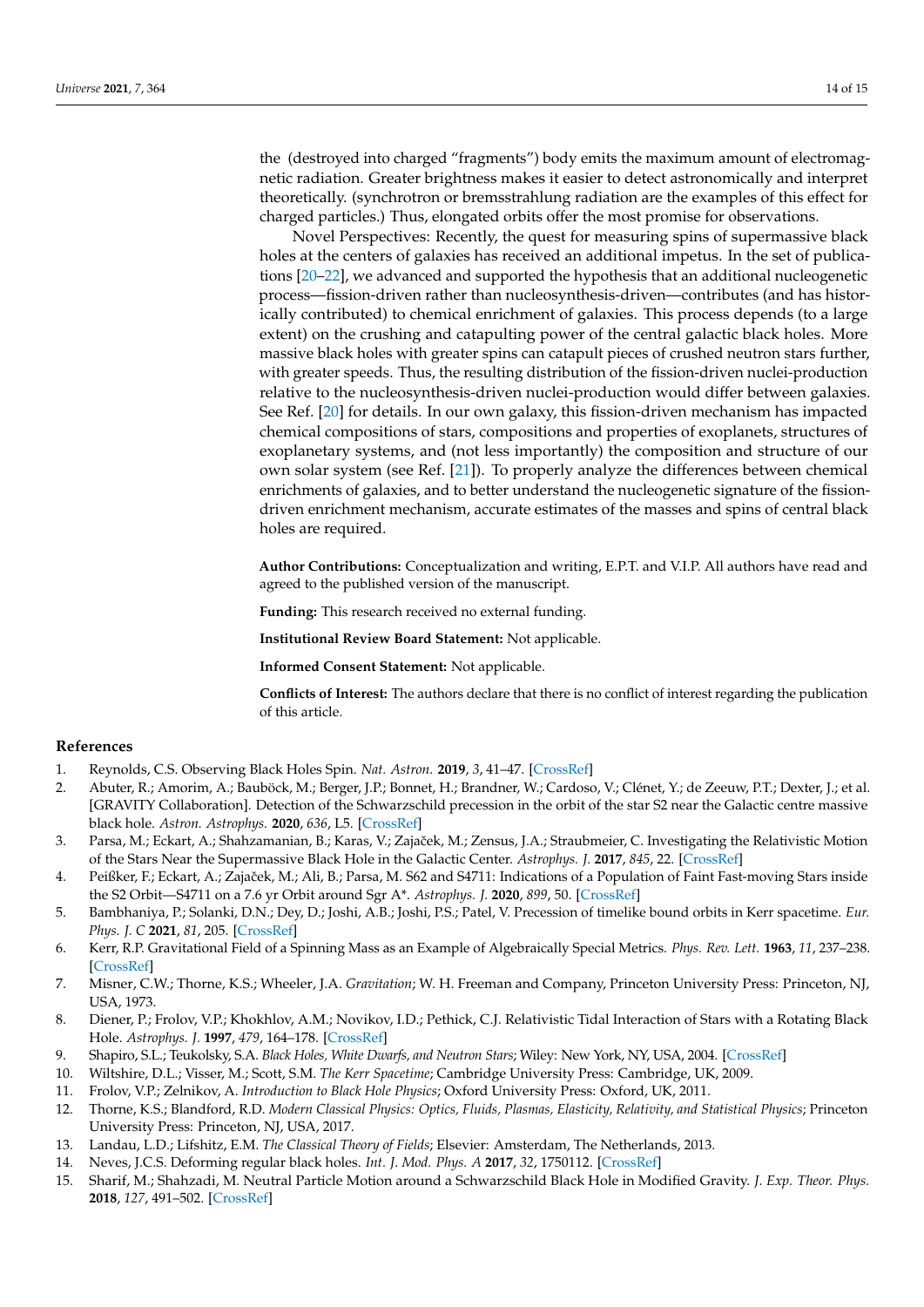the (destroyed into charged "fragments") body emits the maximum amount of electromagnetic radiation. Greater brightness makes it easier to detect astronomically and interpret theoretically. (synchrotron or bremsstrahlung radiation are the examples of this effect for charged particles.) Thus, elongated orbits offer the most promise for observations.

Novel Perspectives: Recently, the quest for measuring spins of supermassive black holes at the centers of galaxies has received an additional impetus. In the set of publications [\[20](#page-14-4)[–22\]](#page-14-5), we advanced and supported the hypothesis that an additional nucleogenetic process—fission-driven rather than nucleosynthesis-driven—contributes (and has historically contributed) to chemical enrichment of galaxies. This process depends (to a large extent) on the crushing and catapulting power of the central galactic black holes. More massive black holes with greater spins can catapult pieces of crushed neutron stars further, with greater speeds. Thus, the resulting distribution of the fission-driven nuclei-production relative to the nucleosynthesis-driven nuclei-production would differ between galaxies. See Ref. [\[20\]](#page-14-4) for details. In our own galaxy, this fission-driven mechanism has impacted chemical compositions of stars, compositions and properties of exoplanets, structures of exoplanetary systems, and (not less importantly) the composition and structure of our own solar system (see Ref. [\[21\]](#page-14-6)). To properly analyze the differences between chemical enrichments of galaxies, and to better understand the nucleogenetic signature of the fissiondriven enrichment mechanism, accurate estimates of the masses and spins of central black holes are required.

**Author Contributions:** Conceptualization and writing, E.P.T. and V.I.P. All authors have read and agreed to the published version of the manuscript.

**Funding:** This research received no external funding.

**Institutional Review Board Statement:** Not applicable.

**Informed Consent Statement:** Not applicable.

**Conflicts of Interest:** The authors declare that there is no conflict of interest regarding the publication of this article.

#### **References**

- <span id="page-13-0"></span>1. Reynolds, C.S. Observing Black Holes Spin. *Nat. Astron.* **2019**, *3*, 41–47. [\[CrossRef\]](http://doi.org/10.1038/s41550-018-0665-z)
- <span id="page-13-1"></span>2. Abuter, R.; Amorim, A.; Bauböck, M.; Berger, J.P.; Bonnet, H.; Brandner, W.; Cardoso, V.; Clénet, Y.; de Zeeuw, P.T.; Dexter, J.; et al. [GRAVITY Collaboration]. Detection of the Schwarzschild precession in the orbit of the star S2 near the Galactic centre massive black hole. *Astron. Astrophys.* **2020**, *636*, L5. [\[CrossRef\]](http://dx.doi.org/10.1051/0004-6361/202037813)
- 3. Parsa, M.; Eckart, A.; Shahzamanian, B.; Karas, V.; Zajaček, M.; Zensus, J.A.; Straubmeier, C. Investigating the Relativistic Motion of the Stars Near the Supermassive Black Hole in the Galactic Center. *Astrophys. J.* **2017**, *845*, 22. [\[CrossRef\]](http://dx.doi.org/10.3847/1538-4357/aa7bf0)
- 4. Peißker, F.; Eckart, A.; Zajaček, M.; Ali, B.; Parsa, M. S62 and S4711: Indications of a Population of Faint Fast-moving Stars inside the S2 Orbit—S4711 on a 7.6 yr Orbit around Sgr A\*. *Astrophys. J.* **2020**, *899*, 50. [\[CrossRef\]](http://dx.doi.org/10.3847/1538-4357/ab9c1c)
- <span id="page-13-2"></span>5. Bambhaniya, P.; Solanki, D.N.; Dey, D.; Joshi, A.B.; Joshi, P.S.; Patel, V. Precession of timelike bound orbits in Kerr spacetime. *Eur. Phys. J. C* **2021**, *81*, 205. [\[CrossRef\]](http://dx.doi.org/10.1140/epjc/s10052-021-08997-x)
- <span id="page-13-3"></span>6. Kerr, R.P. Gravitational Field of a Spinning Mass as an Example of Algebraically Special Metrics. *Phys. Rev. Lett.* **1963**, *11*, 237–238. [\[CrossRef\]](http://dx.doi.org/10.1103/PhysRevLett.11.237)
- 7. Misner, C.W.; Thorne, K.S.; Wheeler, J.A. *Gravitation*; W. H. Freeman and Company, Princeton University Press: Princeton, NJ, USA, 1973.
- <span id="page-13-8"></span>8. Diener, P.; Frolov, V.P.; Khokhlov, A.M.; Novikov, I.D.; Pethick, C.J. Relativistic Tidal Interaction of Stars with a Rotating Black Hole. *Astrophys. J.* **1997**, *479*, 164–178. [\[CrossRef\]](http://dx.doi.org/10.1086/303875)
- 9. Shapiro, S.L.; Teukolsky, S.A. *Black Holes, White Dwarfs, and Neutron Stars*; Wiley: New York, NY, USA, 2004. [\[CrossRef\]](http://dx.doi.org/10.1002/9783527617661)
- 10. Wiltshire, D.L.; Visser, M.; Scott, S.M. *The Kerr Spacetime*; Cambridge University Press: Cambridge, UK, 2009.
- 11. Frolov, V.P.; Zelnikov, A. *Introduction to Black Hole Physics*; Oxford University Press: Oxford, UK, 2011.
- <span id="page-13-4"></span>12. Thorne, K.S.; Blandford, R.D. *Modern Classical Physics: Optics, Fluids, Plasmas, Elasticity, Relativity, and Statistical Physics*; Princeton University Press: Princeton, NJ, USA, 2017.
- <span id="page-13-5"></span>13. Landau, L.D.; Lifshitz, E.M. *The Classical Theory of Fields*; Elsevier: Amsterdam, The Netherlands, 2013.
- <span id="page-13-6"></span>14. Neves, J.C.S. Deforming regular black holes. *Int. J. Mod. Phys. A* **2017**, *32*, 1750112. [\[CrossRef\]](http://dx.doi.org/10.1142/S0217751X17501123)
- <span id="page-13-7"></span>15. Sharif, M.; Shahzadi, M. Neutral Particle Motion around a Schwarzschild Black Hole in Modified Gravity. *J. Exp. Theor. Phys.* **2018**, *127*, 491–502. [\[CrossRef\]](http://dx.doi.org/10.1134/S1063776118090182)